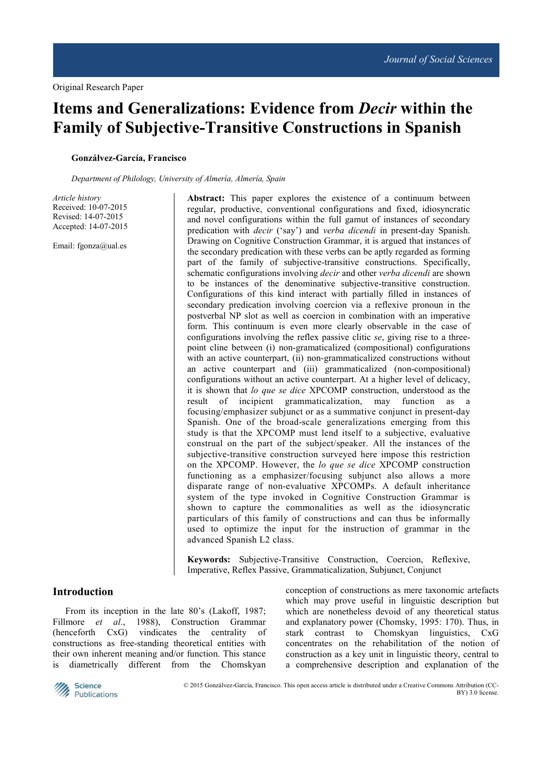# **Items and Generalizations: Evidence from** *Decir* **within the Family of Subjective-Transitive Constructions in Spanish**

#### **Gonzálvez-García, Francisco**

*Department of Philology, University of Almería, Almería, Spain* 

*Article history*  Received: 10-07-2015 Revised: 14-07-2015 Accepted: 14-07-2015

Email: fgonza@ual.es

**Abstract:** This paper explores the existence of a continuum between regular, productive, conventional configurations and fixed, idiosyncratic and novel configurations within the full gamut of instances of secondary predication with *decir* ('say') and *verba dicendi* in present-day Spanish. Drawing on Cognitive Construction Grammar, it is argued that instances of the secondary predication with these verbs can be aptly regarded as forming part of the family of subjective-transitive constructions. Specifically, schematic configurations involving *decir* and other *verba dicendi* are shown to be instances of the denominative subjective-transitive construction. Configurations of this kind interact with partially filled in instances of secondary predication involving coercion via a reflexive pronoun in the postverbal NP slot as well as coercion in combination with an imperative form. This continuum is even more clearly observable in the case of configurations involving the reflex passive clitic *se*, giving rise to a threepoint cline between (i) non-gramaticalized (compositional) configurations with an active counterpart, (ii) non-grammaticalized constructions without an active counterpart and (iii) grammaticalized (non-compositional) configurations without an active counterpart. At a higher level of delicacy, it is shown that *lo que se dice* XPCOMP construction, understood as the result of incipient grammaticalization, may function as a focusing/emphasizer subjunct or as a summative conjunct in present-day Spanish. One of the broad-scale generalizations emerging from this study is that the XPCOMP must lend itself to a subjective, evaluative construal on the part of the subject/speaker. All the instances of the subjective-transitive construction surveyed here impose this restriction on the XPCOMP. However, the *lo que se dice* XPCOMP construction functioning as a emphasizer/focusing subjunct also allows a more disparate range of non-evaluative XPCOMPs. A default inheritance system of the type invoked in Cognitive Construction Grammar is shown to capture the commonalities as well as the idiosyncratic particulars of this family of constructions and can thus be informally used to optimize the input for the instruction of grammar in the advanced Spanish L2 class.

**Keywords:** Subjective-Transitive Construction, Coercion, Reflexive, Imperative, Reflex Passive, Grammaticalization, Subjunct, Conjunct

### **Introduction**

From its inception in the late 80's (Lakoff, 1987; Fillmore *et al*., 1988), Construction Grammar (henceforth CxG) vindicates the centrality of constructions as free-standing theoretical entities with their own inherent meaning and/or function. This stance is diametrically different from the Chomskyan

conception of constructions as mere taxonomic artefacts which may prove useful in linguistic description but which are nonetheless devoid of any theoretical status and explanatory power (Chomsky, 1995: 170). Thus, in stark contrast to Chomskyan linguistics, CxG concentrates on the rehabilitation of the notion of construction as a key unit in linguistic theory, central to a comprehensive description and explanation of the



 © 2015 Gonzálvez-García, Francisco. This open access article is distributed under a Creative Commons Attribution (CC-BY) 3.0 license.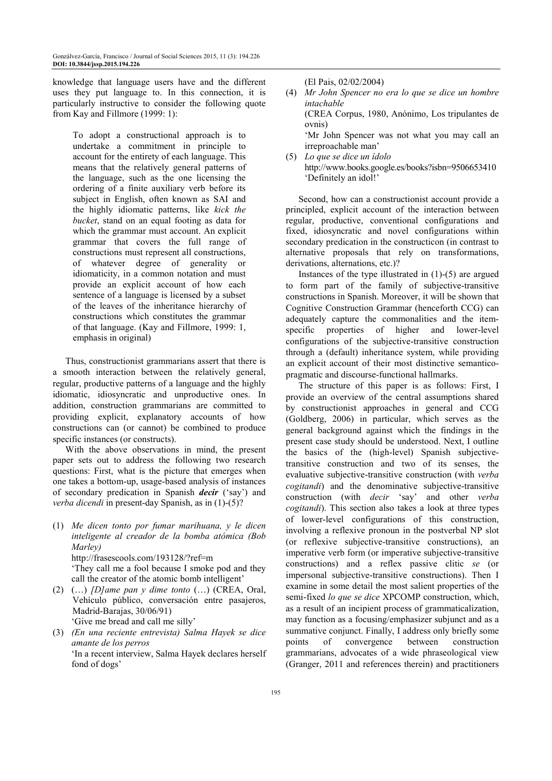knowledge that language users have and the different uses they put language to. In this connection, it is particularly instructive to consider the following quote from Kay and Fillmore (1999: 1):

To adopt a constructional approach is to undertake a commitment in principle to account for the entirety of each language. This means that the relatively general patterns of the language, such as the one licensing the ordering of a finite auxiliary verb before its subject in English, often known as SAI and the highly idiomatic patterns, like *kick the bucket*, stand on an equal footing as data for which the grammar must account. An explicit grammar that covers the full range of constructions must represent all constructions, of whatever degree of generality or idiomaticity, in a common notation and must provide an explicit account of how each sentence of a language is licensed by a subset of the leaves of the inheritance hierarchy of constructions which constitutes the grammar of that language. (Kay and Fillmore, 1999: 1, emphasis in original)

Thus, constructionist grammarians assert that there is a smooth interaction between the relatively general, regular, productive patterns of a language and the highly idiomatic, idiosyncratic and unproductive ones. In addition, construction grammarians are committed to providing explicit, explanatory accounts of how constructions can (or cannot) be combined to produce specific instances (or constructs).

With the above observations in mind, the present paper sets out to address the following two research questions: First, what is the picture that emerges when one takes a bottom-up, usage-based analysis of instances of secondary predication in Spanish *decir* ('say') and *verba dicendi* in present-day Spanish, as in (1)-(5)?

(1) *Me dicen tonto por fumar marihuana, y le dicen inteligente al creador de la bomba atómica (Bob Marley)* http://frasescools.com/193128/?ref=m

'They call me a fool because I smoke pod and they

call the creator of the atomic bomb intelligent'

- (2) (…) *[D]ame pan y dime tonto* (…) (CREA, Oral, Vehículo público, conversación entre pasajeros, Madrid-Barajas, 30/06/91) 'Give me bread and call me silly'
- (3) *(En una reciente entrevista) Salma Hayek se dice amante de los perros* 'In a recent interview, Salma Hayek declares herself fond of dogs'

(El Pais, 02/02/2004)

| (4) | Mr John Spencer no era lo que se dice un hombre |
|-----|-------------------------------------------------|
|     | intachable                                      |
|     | (CREA Corpus, 1980, Anónimo, Los tripulantes de |
|     | ovnis)                                          |
|     | 'Mr John Spencer was not what you may call an   |
|     | irreproachable man'                             |

(5) *Lo que se dice un ídolo*  http://www.books.google.es/books?isbn=9506653410 'Definitely an idol!'

Second, how can a constructionist account provide a principled, explicit account of the interaction between regular, productive, conventional configurations and fixed, idiosyncratic and novel configurations within secondary predication in the constructicon (in contrast to alternative proposals that rely on transformations, derivations, alternations, etc.)?

Instances of the type illustrated in (1)-(5) are argued to form part of the family of subjective-transitive constructions in Spanish. Moreover, it will be shown that Cognitive Construction Grammar (henceforth CCG) can adequately capture the commonalities and the itemspecific properties of higher and lower-level configurations of the subjective-transitive construction through a (default) inheritance system, while providing an explicit account of their most distinctive semanticopragmatic and discourse-functional hallmarks.

The structure of this paper is as follows: First, I provide an overview of the central assumptions shared by constructionist approaches in general and CCG (Goldberg, 2006) in particular, which serves as the general background against which the findings in the present case study should be understood. Next, I outline the basics of the (high-level) Spanish subjectivetransitive construction and two of its senses, the evaluative subjective-transitive construction (with *verba cogitandi*) and the denominative subjective-transitive construction (with *decir* 'say' and other *verba cogitandi*). This section also takes a look at three types of lower-level configurations of this construction, involving a reflexive pronoun in the postverbal NP slot (or reflexive subjective-transitive constructions), an imperative verb form (or imperative subjective-transitive constructions) and a reflex passive clitic *se* (or impersonal subjective-transitive constructions). Then I examine in some detail the most salient properties of the semi-fixed *lo que se dice* XPCOMP construction, which, as a result of an incipient process of grammaticalization, may function as a focusing/emphasizer subjunct and as a summative conjunct. Finally, I address only briefly some points of convergence between construction grammarians, advocates of a wide phraseological view (Granger, 2011 and references therein) and practitioners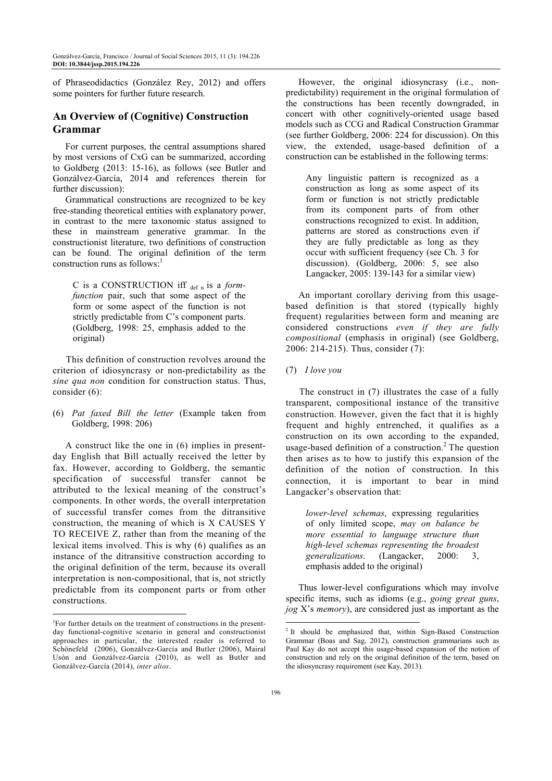of Phraseodidactics (González Rey, 2012) and offers some pointers for further future research.

## **An Overview of (Cognitive) Construction Grammar**

For current purposes, the central assumptions shared by most versions of CxG can be summarized, according to Goldberg (2013: 15-16), as follows (see Butler and Gonzálvez-García, 2014 and references therein for further discussion):

Grammatical constructions are recognized to be key free-standing theoretical entities with explanatory power, in contrast to the mere taxonomic status assigned to these in mainstream generative grammar. In the constructionist literature, two definitions of construction can be found. The original definition of the term construction runs as follows: $<sup>1</sup>$ </sup>

C is a CONSTRUCTION iff def n is a *formfunction* pair, such that some aspect of the form or some aspect of the function is not strictly predictable from C's component parts. (Goldberg, 1998: 25, emphasis added to the original)

This definition of construction revolves around the criterion of idiosyncrasy or non-predictability as the *sine qua non* condition for construction status. Thus, consider (6):

(6) *Pat faxed Bill the letter* (Example taken from Goldberg, 1998: 206)

A construct like the one in (6) implies in presentday English that Bill actually received the letter by fax. However, according to Goldberg, the semantic specification of successful transfer cannot be attributed to the lexical meaning of the construct's components. In other words, the overall interpretation of successful transfer comes from the ditransitive construction, the meaning of which is X CAUSES Y TO RECEIVE Z, rather than from the meaning of the lexical items involved. This is why (6) qualifies as an instance of the ditransitive construction according to the original definition of the term, because its overall interpretation is non-compositional, that is, not strictly predictable from its component parts or from other constructions.

 $\overline{a}$ 

However, the original idiosyncrasy (i.e., nonpredictability) requirement in the original formulation of the constructions has been recently downgraded, in concert with other cognitively-oriented usage based models such as CCG and Radical Construction Grammar (see further Goldberg, 2006: 224 for discussion). On this view, the extended, usage-based definition of a construction can be established in the following terms:

Any linguistic pattern is recognized as a construction as long as some aspect of its form or function is not strictly predictable from its component parts of from other constructions recognized to exist. In addition, patterns are stored as constructions even if they are fully predictable as long as they occur with sufficient frequency (see Ch. 3 for discussion). (Goldberg, 2006: 5, see also Langacker, 2005: 139-143 for a similar view)

An important corollary deriving from this usagebased definition is that stored (typically highly frequent) regularities between form and meaning are considered constructions *even if they are fully compositional* (emphasis in original) (see Goldberg, 2006: 214-215). Thus, consider (7):

(7) *I love you*

The construct in (7) illustrates the case of a fully transparent, compositional instance of the transitive construction. However, given the fact that it is highly frequent and highly entrenched, it qualifies as a construction on its own according to the expanded, usage-based definition of a construction.<sup>2</sup> The question then arises as to how to justify this expansion of the definition of the notion of construction. In this connection, it is important to bear in mind Langacker's observation that:

*lower-level schemas*, expressing regularities of only limited scope, *may on balance be more essential to language structure than high-level schemas representing the broadest generalizations*. (Langacker, 2000: 3, emphasis added to the original)

Thus lower-level configurations which may involve specific items, such as idioms (e.g., *going great guns*, *jog* X's *memory*), are considered just as important as the

<sup>1</sup> For further details on the treatment of constructions in the presentday functional-cognitive scenario in general and constructionist approaches in particular, the interested reader is referred to Schönefeld (2006), Gonzálvez-García and Butler (2006), Mairal Usón and Gonzálvez-García (2010), as well as Butler and Gonzálvez-García (2014), *inter alios*.

<sup>&</sup>lt;sup>2</sup> It should be emphasized that, within Sign-Based Construction Grammar (Boas and Sag, 2012), construction grammarians such as Paul Kay do not accept this usage-based expansion of the notion of construction and rely on the original definition of the term, based on the idiosyncrasy requirement (see Kay, 2013).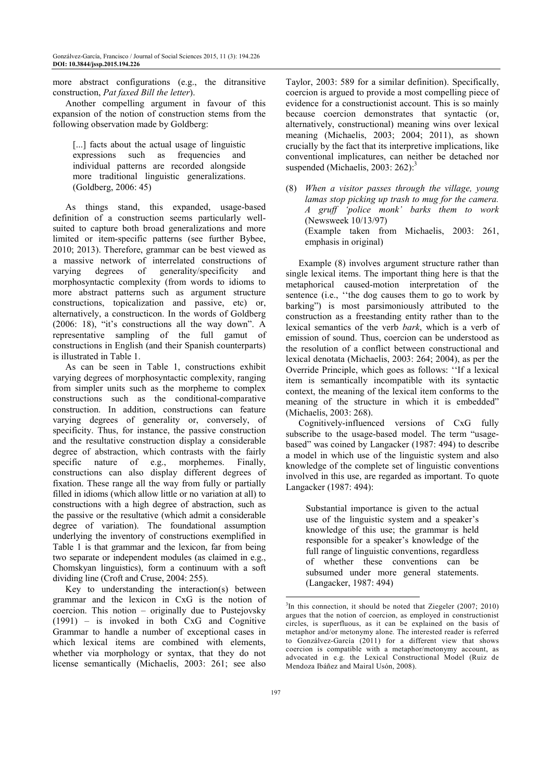more abstract configurations (e.g., the ditransitive construction, *Pat faxed Bill the letter*).

Another compelling argument in favour of this expansion of the notion of construction stems from the following observation made by Goldberg:

[...] facts about the actual usage of linguistic expressions such as frequencies and individual patterns are recorded alongside more traditional linguistic generalizations. (Goldberg, 2006: 45)

As things stand, this expanded, usage-based definition of a construction seems particularly wellsuited to capture both broad generalizations and more limited or item-specific patterns (see further Bybee, 2010; 2013). Therefore, grammar can be best viewed as a massive network of interrelated constructions of varying degrees of generality/specificity and morphosyntactic complexity (from words to idioms to more abstract patterns such as argument structure constructions, topicalization and passive, etc) or, alternatively, a constructicon. In the words of Goldberg (2006: 18), "it's constructions all the way down". A representative sampling of the full gamut of constructions in English (and their Spanish counterparts) is illustrated in Table 1.

As can be seen in Table 1, constructions exhibit varying degrees of morphosyntactic complexity, ranging from simpler units such as the morpheme to complex constructions such as the conditional-comparative construction. In addition, constructions can feature varying degrees of generality or, conversely, of specificity. Thus, for instance, the passive construction and the resultative construction display a considerable degree of abstraction, which contrasts with the fairly specific nature of e.g., morphemes. Finally, constructions can also display different degrees of fixation. These range all the way from fully or partially filled in idioms (which allow little or no variation at all) to constructions with a high degree of abstraction, such as the passive or the resultative (which admit a considerable degree of variation). The foundational assumption underlying the inventory of constructions exemplified in Table 1 is that grammar and the lexicon, far from being two separate or independent modules (as claimed in e.g., Chomskyan linguistics), form a continuum with a soft dividing line (Croft and Cruse, 2004: 255).

Key to understanding the interaction(s) between grammar and the lexicon in CxG is the notion of coercion. This notion – originally due to Pustejovsky (1991) – is invoked in both CxG and Cognitive Grammar to handle a number of exceptional cases in which lexical items are combined with elements, whether via morphology or syntax, that they do not license semantically (Michaelis, 2003: 261; see also

Taylor, 2003: 589 for a similar definition). Specifically, coercion is argued to provide a most compelling piece of evidence for a constructionist account. This is so mainly because coercion demonstrates that syntactic (or, alternatively, constructional) meaning wins over lexical meaning (Michaelis, 2003; 2004; 2011), as shown crucially by the fact that its interpretive implications, like conventional implicatures, can neither be detached nor suspended (Michaelis, 2003: 262): $3$ 

(8) *When a visitor passes through the village, young lamas stop picking up trash to mug for the camera. A gruff 'police monk' barks them to work* (Newsweek 10/13/97) (Example taken from Michaelis, 2003: 261, emphasis in original)

Example (8) involves argument structure rather than single lexical items. The important thing here is that the metaphorical caused-motion interpretation of the sentence (i.e., ''the dog causes them to go to work by barking") is most parsimoniously attributed to the construction as a freestanding entity rather than to the lexical semantics of the verb *bark*, which is a verb of emission of sound. Thus, coercion can be understood as the resolution of a conflict between constructional and lexical denotata (Michaelis, 2003: 264; 2004), as per the Override Principle, which goes as follows: ''If a lexical item is semantically incompatible with its syntactic context, the meaning of the lexical item conforms to the meaning of the structure in which it is embedded" (Michaelis, 2003: 268).

Cognitively-influenced versions of CxG fully subscribe to the usage-based model. The term "usagebased" was coined by Langacker (1987: 494) to describe a model in which use of the linguistic system and also knowledge of the complete set of linguistic conventions involved in this use, are regarded as important. To quote Langacker (1987: 494):

Substantial importance is given to the actual use of the linguistic system and a speaker's knowledge of this use; the grammar is held responsible for a speaker's knowledge of the full range of linguistic conventions, regardless of whether these conventions can be subsumed under more general statements. (Langacker, 1987: 494)

 $\overline{a}$ <sup>3</sup>In this connection, it should be noted that Ziegeler (2007; 2010) argues that the notion of coercion, as employed in constructionist circles, is superfluous, as it can be explained on the basis of metaphor and/or metonymy alone. The interested reader is referred to Gonzálvez-García (2011) for a different view that shows coercion is compatible with a metaphor/metonymy account, as advocated in e.g. the Lexical Constructional Model (Ruiz de Mendoza Ibáñez and Mairal Usón, 2008).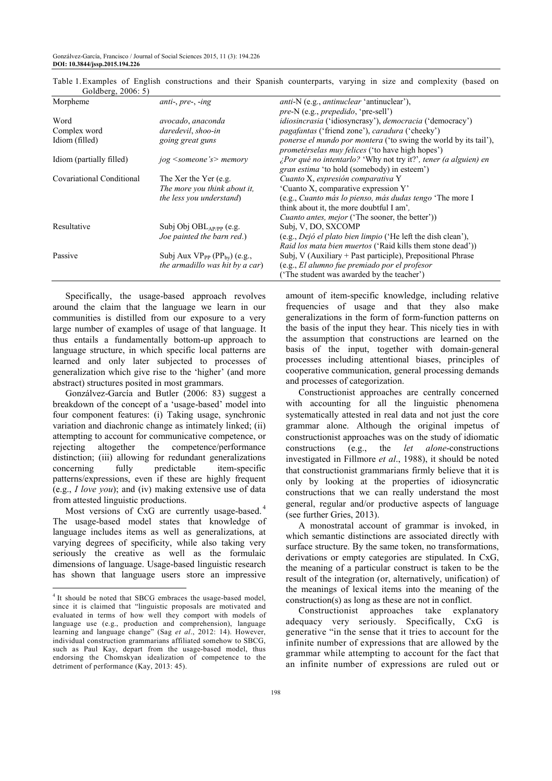| $\frac{1}{2}$             |                                         |                                                                                                                             |
|---------------------------|-----------------------------------------|-----------------------------------------------------------------------------------------------------------------------------|
| Morpheme                  | $anti-, pre-, -ing$                     | <i>anti-N</i> (e.g., <i>antinuclear</i> 'antinuclear'),                                                                     |
|                           |                                         | pre-N (e.g., prepedido, 'pre-sell')                                                                                         |
| Word                      | avocado, anaconda                       | <i>idiosincrasia</i> ('idiosyncrasy'), <i>democracia</i> ('democracy')                                                      |
| Complex word              | daredevil, shoo-in                      | <i>pagafantas</i> ('friend zone'), <i>caradura</i> ('cheeky')                                                               |
| Idiom (filled)            | going great guns                        | <i>ponerse el mundo por montera</i> ('to swing the world by its tail'),<br>prometérselas muy felices ('to have high hopes') |
| Idiom (partially filled)  | jog <someone's> memory</someone's>      | ¿Por qué no intentarlo? 'Why not try it?', tener (a alguien) en<br><i>gran estima</i> 'to hold (somebody) in esteem')       |
| Covariational Conditional | The Xer the Yer (e.g.                   | Cuanto X, expresión comparativa Y                                                                                           |
|                           | The more you think about it,            | 'Cuanto X, comparative expression Y'                                                                                        |
|                           | the less you understand)                | (e.g., Cuanto más lo pienso, más dudas tengo 'The more I                                                                    |
|                           |                                         | think about it, the more doubtful I am'.                                                                                    |
|                           |                                         | <i>Cuanto antes, mejor</i> ('The sooner, the better'))                                                                      |
| Resultative               | Subj Obj $OBL_{AP/PP}$ (e.g.            | Subj, V, DO, SXCOMP                                                                                                         |
|                           | Joe painted the barn red.)              | (e.g., Dejó el plato bien limpio ('He left the dish clean'),                                                                |
|                           |                                         | <i>Raid los mata bien muertos</i> ('Raid kills them stone dead'))                                                           |
| Passive                   | Subj Aux $VP_{PP}$ ( $PP_{by}$ ) (e.g., | Subj, V (Auxiliary + Past participle), Prepositional Phrase                                                                 |
|                           | the armadillo was hit by a car)         | (e.g., El alumno fue premiado por el profesor                                                                               |
|                           |                                         | ('The student was awarded by the teacher')                                                                                  |
|                           |                                         |                                                                                                                             |

Table 1. Examples of English constructions and their Spanish counterparts, varying in size and complexity (based on Goldberg, 2006: 5)

Specifically, the usage-based approach revolves around the claim that the language we learn in our communities is distilled from our exposure to a very large number of examples of usage of that language. It thus entails a fundamentally bottom-up approach to language structure, in which specific local patterns are learned and only later subjected to processes of generalization which give rise to the 'higher' (and more abstract) structures posited in most grammars.

Gonzálvez-García and Butler (2006: 83) suggest a breakdown of the concept of a 'usage-based' model into four component features: (i) Taking usage, synchronic variation and diachronic change as intimately linked; (ii) attempting to account for communicative competence, or rejecting altogether the competence/performance distinction; (iii) allowing for redundant generalizations concerning fully predictable item-specific patterns/expressions, even if these are highly frequent (e.g., *I love you*); and (iv) making extensive use of data from attested linguistic productions.

Most versions of CxG are currently usage-based.<sup>4</sup> The usage-based model states that knowledge of language includes items as well as generalizations, at varying degrees of specificity, while also taking very seriously the creative as well as the formulaic dimensions of language. Usage-based linguistic research has shown that language users store an impressive

 $\overline{a}$ 

amount of item-specific knowledge, including relative frequencies of usage and that they also make generalizations in the form of form-function patterns on the basis of the input they hear. This nicely ties in with the assumption that constructions are learned on the basis of the input, together with domain-general processes including attentional biases, principles of cooperative communication, general processing demands and processes of categorization.

Constructionist approaches are centrally concerned with accounting for all the linguistic phenomena systematically attested in real data and not just the core grammar alone. Although the original impetus of constructionist approaches was on the study of idiomatic constructions (e.g., the *let alone*-constructions investigated in Fillmore *et al*., 1988), it should be noted that constructionist grammarians firmly believe that it is only by looking at the properties of idiosyncratic constructions that we can really understand the most general, regular and/or productive aspects of language (see further Gries, 2013).

A monostratal account of grammar is invoked, in which semantic distinctions are associated directly with surface structure. By the same token, no transformations, derivations or empty categories are stipulated. In CxG, the meaning of a particular construct is taken to be the result of the integration (or, alternatively, unification) of the meanings of lexical items into the meaning of the construction(s) as long as these are not in conflict.

Constructionist approaches take explanatory adequacy very seriously. Specifically, CxG is generative "in the sense that it tries to account for the infinite number of expressions that are allowed by the grammar while attempting to account for the fact that an infinite number of expressions are ruled out or

<sup>&</sup>lt;sup>4</sup> It should be noted that SBCG embraces the usage-based model, since it is claimed that "linguistic proposals are motivated and evaluated in terms of how well they comport with models of language use (e.g., production and comprehension), language learning and language change" (Sag *et al*., 2012: 14). However, individual construction grammarians affiliated somehow to SBCG, such as Paul Kay, depart from the usage-based model, thus endorsing the Chomskyan idealization of competence to the detriment of performance (Kay, 2013: 45).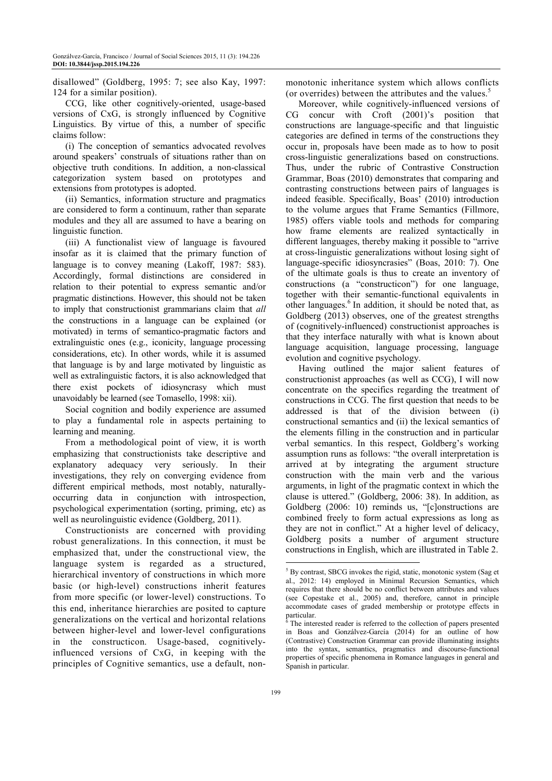disallowed" (Goldberg, 1995: 7; see also Kay, 1997: 124 for a similar position).

CCG, like other cognitively-oriented, usage-based versions of CxG, is strongly influenced by Cognitive Linguistics. By virtue of this, a number of specific claims follow:

(i) The conception of semantics advocated revolves around speakers' construals of situations rather than on objective truth conditions. In addition, a non-classical categorization system based on prototypes and extensions from prototypes is adopted.

(ii) Semantics, information structure and pragmatics are considered to form a continuum, rather than separate modules and they all are assumed to have a bearing on linguistic function.

(iii) A functionalist view of language is favoured insofar as it is claimed that the primary function of language is to convey meaning (Lakoff, 1987: 583). Accordingly, formal distinctions are considered in relation to their potential to express semantic and/or pragmatic distinctions. However, this should not be taken to imply that constructionist grammarians claim that *all* the constructions in a language can be explained (or motivated) in terms of semantico-pragmatic factors and extralinguistic ones (e.g., iconicity, language processing considerations, etc). In other words, while it is assumed that language is by and large motivated by linguistic as well as extralinguistic factors, it is also acknowledged that there exist pockets of idiosyncrasy which must unavoidably be learned (see Tomasello, 1998: xii).

Social cognition and bodily experience are assumed to play a fundamental role in aspects pertaining to learning and meaning.

From a methodological point of view, it is worth emphasizing that constructionists take descriptive and explanatory adequacy very seriously. In their investigations, they rely on converging evidence from different empirical methods, most notably, naturallyoccurring data in conjunction with introspection, psychological experimentation (sorting, priming, etc) as well as neurolinguistic evidence (Goldberg, 2011).

Constructionists are concerned with providing robust generalizations. In this connection, it must be emphasized that, under the constructional view, the language system is regarded as a structured, hierarchical inventory of constructions in which more basic (or high-level) constructions inherit features from more specific (or lower-level) constructions. To this end, inheritance hierarchies are posited to capture generalizations on the vertical and horizontal relations between higher-level and lower-level configurations in the constructicon. Usage-based, cognitivelyinfluenced versions of CxG, in keeping with the principles of Cognitive semantics, use a default, non-

monotonic inheritance system which allows conflicts (or overrides) between the attributes and the values.<sup>5</sup>

Moreover, while cognitively-influenced versions of CG concur with Croft (2001)'s position that constructions are language-specific and that linguistic categories are defined in terms of the constructions they occur in, proposals have been made as to how to posit cross-linguistic generalizations based on constructions. Thus, under the rubric of Contrastive Construction Grammar, Boas (2010) demonstrates that comparing and contrasting constructions between pairs of languages is indeed feasible. Specifically, Boas' (2010) introduction to the volume argues that Frame Semantics (Fillmore, 1985) offers viable tools and methods for comparing how frame elements are realized syntactically in different languages, thereby making it possible to "arrive at cross-linguistic generalizations without losing sight of language-specific idiosyncrasies" (Boas, 2010: 7). One of the ultimate goals is thus to create an inventory of constructions (a "constructicon") for one language, together with their semantic-functional equivalents in other languages.<sup>6</sup> In addition, it should be noted that, as Goldberg (2013) observes, one of the greatest strengths of (cognitively-influenced) constructionist approaches is that they interface naturally with what is known about language acquisition, language processing, language evolution and cognitive psychology.

Having outlined the major salient features of constructionist approaches (as well as CCG), I will now concentrate on the specifics regarding the treatment of constructions in CCG. The first question that needs to be addressed is that of the division between (i) constructional semantics and (ii) the lexical semantics of the elements filling in the construction and in particular verbal semantics. In this respect, Goldberg's working assumption runs as follows: "the overall interpretation is arrived at by integrating the argument structure construction with the main verb and the various arguments, in light of the pragmatic context in which the clause is uttered." (Goldberg, 2006: 38). In addition, as Goldberg (2006: 10) reminds us, "[c]onstructions are combined freely to form actual expressions as long as they are not in conflict." At a higher level of delicacy, Goldberg posits a number of argument structure constructions in English, which are illustrated in Table 2.

 5 By contrast, SBCG invokes the rigid, static, monotonic system (Sag et al., 2012: 14) employed in Minimal Recursion Semantics, which requires that there should be no conflict between attributes and values (see Copestake et al., 2005) and, therefore, cannot in principle accommodate cases of graded membership or prototype effects in particular.<br><sup>6</sup> The inter

The interested reader is referred to the collection of papers presented in Boas and Gonzálvez-García (2014) for an outline of how (Contrastive) Construction Grammar can provide illuminating insights into the syntax, semantics, pragmatics and discourse-functional properties of specific phenomena in Romance languages in general and Spanish in particular.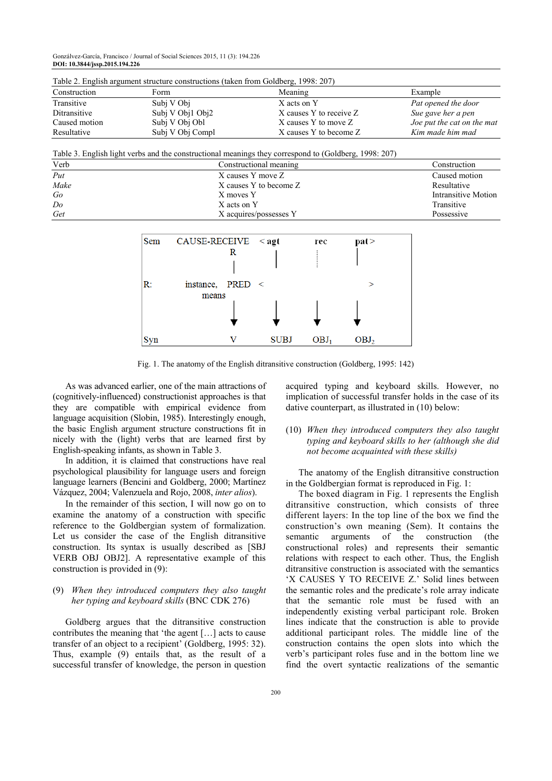Gonzálvez-García, Francisco / Journal of Social Sciences 2015, 11 (3): 194.226 **DOI: 10.3844/jssp.2015.194.226**

| Table 2. English argument structure constructions (taken from Goldberg, 1998: 207) |                  |                         |                            |  |  |
|------------------------------------------------------------------------------------|------------------|-------------------------|----------------------------|--|--|
| Construction                                                                       | Form             | Meaning                 | Example                    |  |  |
| Transitive                                                                         | Subi V Obj       | X acts on Y             | Pat opened the door        |  |  |
| Ditransitive                                                                       | Subj V Obj1 Obj2 | X causes Y to receive Z | Sue gave her a pen         |  |  |
| Caused motion                                                                      | Subj V Obj Obl   | X causes Y to move Z    | Joe put the cat on the mat |  |  |
| Resultative                                                                        | Subi V Obi Compl | X causes Y to become Z  | Kim made him mad           |  |  |

Table 2. English argument structure constructions (taken from Goldberg, 1998: 207)

Table 3. English light verbs and the constructional meanings they correspond to (Goldberg, 1998: 207)

| Verb | Constructional meaning | Construction        |
|------|------------------------|---------------------|
| Put  | X causes Y move Z      | Caused motion       |
| Make | X causes Y to become Z | Resultative         |
| Go   | X moves Y              | Intransitive Motion |
| Do   | X acts on Y            | Transitive          |
| Get  | X acquires/possesses Y | Possessive          |



Fig. 1. The anatomy of the English ditransitive construction (Goldberg, 1995: 142)

As was advanced earlier, one of the main attractions of (cognitively-influenced) constructionist approaches is that they are compatible with empirical evidence from language acquisition (Slobin, 1985). Interestingly enough, the basic English argument structure constructions fit in nicely with the (light) verbs that are learned first by English-speaking infants, as shown in Table 3.

In addition, it is claimed that constructions have real psychological plausibility for language users and foreign language learners (Bencini and Goldberg, 2000; Martínez Vázquez, 2004; Valenzuela and Rojo, 2008, *inter alios*).

In the remainder of this section, I will now go on to examine the anatomy of a construction with specific reference to the Goldbergian system of formalization. Let us consider the case of the English ditransitive construction. Its syntax is usually described as [SBJ VERB OBJ OBJ2]. A representative example of this construction is provided in (9):

#### (9) *When they introduced computers they also taught her typing and keyboard skills* (BNC CDK 276)

Goldberg argues that the ditransitive construction contributes the meaning that 'the agent […] acts to cause transfer of an object to a recipient' (Goldberg, 1995: 32). Thus, example (9) entails that, as the result of a successful transfer of knowledge, the person in question acquired typing and keyboard skills. However, no implication of successful transfer holds in the case of its dative counterpart, as illustrated in (10) below:

#### (10) *When they introduced computers they also taught typing and keyboard skills to her (although she did not become acquainted with these skills)*

The anatomy of the English ditransitive construction in the Goldbergian format is reproduced in Fig. 1:

The boxed diagram in Fig. 1 represents the English ditransitive construction, which consists of three different layers: In the top line of the box we find the construction's own meaning (Sem). It contains the semantic arguments of the construction (the constructional roles) and represents their semantic relations with respect to each other. Thus, the English ditransitive construction is associated with the semantics 'X CAUSES Y TO RECEIVE Z.' Solid lines between the semantic roles and the predicate's role array indicate that the semantic role must be fused with an independently existing verbal participant role. Broken lines indicate that the construction is able to provide additional participant roles. The middle line of the construction contains the open slots into which the verb's participant roles fuse and in the bottom line we find the overt syntactic realizations of the semantic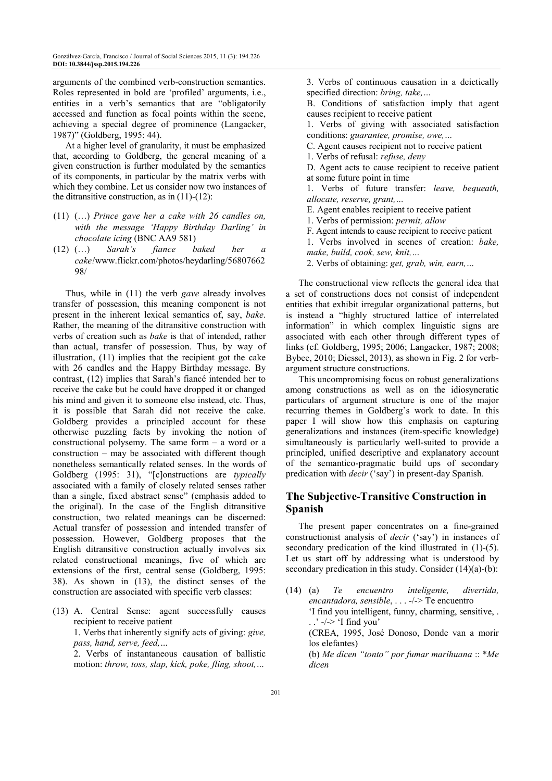arguments of the combined verb-construction semantics. Roles represented in bold are 'profiled' arguments, i.e., entities in a verb's semantics that are "obligatorily accessed and function as focal points within the scene, achieving a special degree of prominence (Langacker, 1987)" (Goldberg, 1995: 44).

At a higher level of granularity, it must be emphasized that, according to Goldberg, the general meaning of a given construction is further modulated by the semantics of its components, in particular by the matrix verbs with which they combine. Let us consider now two instances of the ditransitive construction, as in  $(11)-(12)$ :

- (11) (…) *Prince gave her a cake with 26 candles on, with the message 'Happy Birthday Darling' in chocolate icing* (BNC AA9 581)
- (12) (…) *Sarah's fiance baked her a cake!*www.flickr.com/photos/heydarling/56807662 98/

Thus, while in (11) the verb *gave* already involves transfer of possession, this meaning component is not present in the inherent lexical semantics of, say, *bake*. Rather, the meaning of the ditransitive construction with verbs of creation such as *bake* is that of intended, rather than actual, transfer of possession. Thus, by way of illustration, (11) implies that the recipient got the cake with 26 candles and the Happy Birthday message. By contrast, (12) implies that Sarah's fiancé intended her to receive the cake but he could have dropped it or changed his mind and given it to someone else instead, etc. Thus, it is possible that Sarah did not receive the cake. Goldberg provides a principled account for these otherwise puzzling facts by invoking the notion of constructional polysemy. The same form – a word or a construction – may be associated with different though nonetheless semantically related senses. In the words of Goldberg (1995: 31), "[c]onstructions are *typically* associated with a family of closely related senses rather than a single, fixed abstract sense" (emphasis added to the original). In the case of the English ditransitive construction, two related meanings can be discerned: Actual transfer of possession and intended transfer of possession. However, Goldberg proposes that the English ditransitive construction actually involves six related constructional meanings, five of which are extensions of the first, central sense (Goldberg, 1995: 38). As shown in (13), the distinct senses of the construction are associated with specific verb classes:

(13) A. Central Sense: agent successfully causes recipient to receive patient

 1. Verbs that inherently signify acts of giving: *give, pass, hand, serve, feed,…* 

 2. Verbs of instantaneous causation of ballistic motion: *throw, toss, slap, kick, poke, fling, shoot,…* 

 3. Verbs of continuous causation in a deictically specified direction: *bring, take,…* 

 B. Conditions of satisfaction imply that agent causes recipient to receive patient

 1. Verbs of giving with associated satisfaction conditions: *guarantee, promise, owe,…* 

C. Agent causes recipient not to receive patient

1. Verbs of refusal: *refuse, deny* 

 D. Agent acts to cause recipient to receive patient at some future point in time

 1. Verbs of future transfer: *leave, bequeath, allocate, reserve, grant,…* 

E. Agent enables recipient to receive patient

1. Verbs of permission: *permit, allow* 

F. Agent intends to cause recipient to receive patient

 1. Verbs involved in scenes of creation: *bake, make, build, cook, sew, knit,…* 

2. Verbs of obtaining: *get, grab, win, earn,…*

The constructional view reflects the general idea that a set of constructions does not consist of independent entities that exhibit irregular organizational patterns, but is instead a "highly structured lattice of interrelated information" in which complex linguistic signs are associated with each other through different types of links (cf. Goldberg, 1995; 2006; Langacker, 1987; 2008; Bybee, 2010; Diessel, 2013), as shown in Fig. 2 for verbargument structure constructions.

This uncompromising focus on robust generalizations among constructions as well as on the idiosyncratic particulars of argument structure is one of the major recurring themes in Goldberg's work to date. In this paper I will show how this emphasis on capturing generalizations and instances (item-specific knowledge) simultaneously is particularly well-suited to provide a principled, unified descriptive and explanatory account of the semantico-pragmatic build ups of secondary predication with *decir* ('say') in present-day Spanish.

# **The Subjective-Transitive Construction in Spanish**

The present paper concentrates on a fine-grained constructionist analysis of *decir* ('say') in instances of secondary predication of the kind illustrated in (1)-(5). Let us start off by addressing what is understood by secondary predication in this study. Consider (14)(a)-(b):

(14) (a) *Te encuentro inteligente, divertida, encantadora, sensible*, . . . -/-> Te encuentro 'I find you intelligent, funny, charming, sensitive, .  $\therefore$   $\rightarrow$   $\rightarrow$  'I find you' (CREA, 1995, José Donoso, Donde van a morir los elefantes) (b) *Me dicen "tonto" por fumar marihuana* :: \**Me dicen*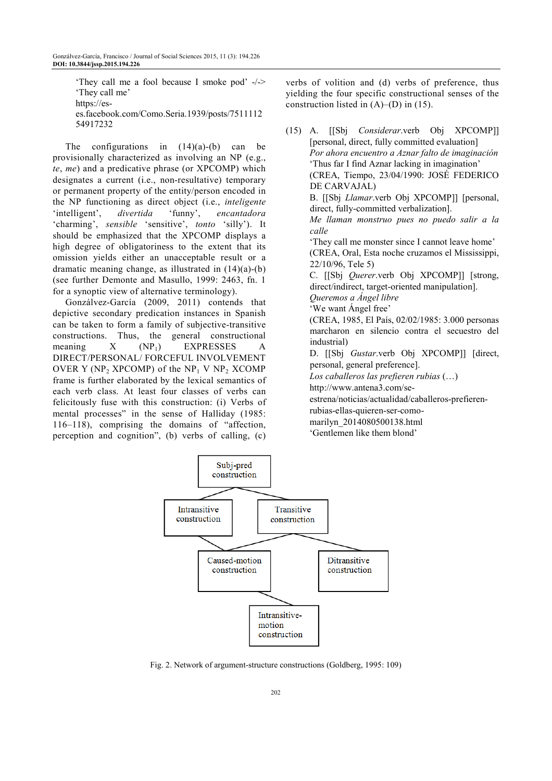'They call me a fool because I smoke pod' -/-> 'They call me' https://eses.facebook.com/Como.Seria.1939/posts/7511112 54917232

The configurations in  $(14)(a)-(b)$  can be provisionally characterized as involving an NP (e.g., *te*, *me*) and a predicative phrase (or XPCOMP) which designates a current (i.e., non-resultative) temporary or permanent property of the entity/person encoded in the NP functioning as direct object (i.e., *inteligente* 'intelligent', *divertida* 'funny', *encantadora* 'charming', *sensible* 'sensitive', *tonto* 'silly'). It should be emphasized that the XPCOMP displays a high degree of obligatoriness to the extent that its omission yields either an unacceptable result or a dramatic meaning change, as illustrated in (14)(a)-(b) (see further Demonte and Masullo, 1999: 2463, fn. 1 for a synoptic view of alternative terminology).

Gonzálvez-García (2009, 2011) contends that depictive secondary predication instances in Spanish can be taken to form a family of subjective-transitive constructions. Thus, the general constructional meaning  $X$  (NP<sub>1</sub>) EXPRESSES A DIRECT/PERSONAL/ FORCEFUL INVOLVEMENT OVER Y (NP<sub>2</sub> XPCOMP) of the NP<sub>1</sub> V NP<sub>2</sub> XCOMP frame is further elaborated by the lexical semantics of each verb class. At least four classes of verbs can felicitously fuse with this construction: (i) Verbs of mental processes" in the sense of Halliday (1985: 116–118), comprising the domains of "affection, perception and cognition", (b) verbs of calling, (c)

verbs of volition and (d) verbs of preference, thus yielding the four specific constructional senses of the construction listed in  $(A)$ – $(D)$  in  $(15)$ .

(15) A. [[Sbj *Considerar*.verb Obj XPCOMP]] [personal, direct, fully committed evaluation]  *Por ahora encuentro a Aznar falto de imaginación* 'Thus far I find Aznar lacking in imagination' (CREA, Tiempo, 23/04/1990: JOSÉ FEDERICO DE CARVAJAL) B. [[Sbj *Llamar*.verb Obj XPCOMP]] [personal, direct, fully-committed verbalization].  *Me llaman monstruo pues no puedo salir a la calle*  'They call me monster since I cannot leave home' (CREA, Oral, Esta noche cruzamos el Mississippi, 22/10/96, Tele 5) C. [[Sbj *Querer*.verb Obj XPCOMP]] [strong, direct/indirect, target-oriented manipulation].  *Queremos a Ángel libre*  'We want Ángel free' (CREA, 1985, El País, 02/02/1985: 3.000 personas marcharon en silencio contra el secuestro del industrial) D. [[Sbj *Gustar*.verb Obj XPCOMP]] [direct, personal, general preference]. *Los caballeros las prefieren rubias* (…) http://www.antena3.com/seestrena/noticias/actualidad/caballeros-prefierenrubias-ellas-quieren-ser-comomarilyn\_2014080500138.html 'Gentlemen like them blond'



Fig. 2. Network of argument-structure constructions (Goldberg, 1995: 109)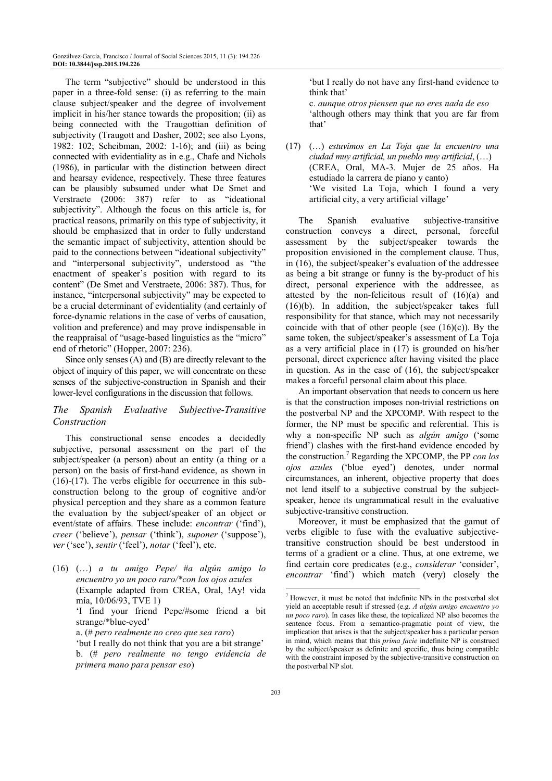The term "subjective" should be understood in this paper in a three-fold sense: (i) as referring to the main clause subject/speaker and the degree of involvement implicit in his/her stance towards the proposition; (ii) as being connected with the Traugottian definition of subjectivity (Traugott and Dasher, 2002; see also Lyons, 1982: 102; Scheibman, 2002: 1-16); and (iii) as being connected with evidentiality as in e.g., Chafe and Nichols (1986), in particular with the distinction between direct and hearsay evidence, respectively. These three features can be plausibly subsumed under what De Smet and Verstraete (2006: 387) refer to as "ideational subjectivity". Although the focus on this article is, for practical reasons, primarily on this type of subjectivity, it should be emphasized that in order to fully understand the semantic impact of subjectivity, attention should be paid to the connections between "ideational subjectivity" and "interpersonal subjectivity", understood as "the enactment of speaker's position with regard to its content" (De Smet and Verstraete, 2006: 387). Thus, for instance, "interpersonal subjectivity" may be expected to be a crucial determinant of evidentiality (and certainly of force-dynamic relations in the case of verbs of causation, volition and preference) and may prove indispensable in the reappraisal of "usage-based linguistics as the "micro" end of rhetoric" (Hopper, 2007: 236).

Since only senses (A) and (B) are directly relevant to the object of inquiry of this paper, we will concentrate on these senses of the subjective-construction in Spanish and their lower-level configurations in the discussion that follows.

#### *The Spanish Evaluative Subjective-Transitive Construction*

This constructional sense encodes a decidedly subjective, personal assessment on the part of the subject/speaker (a person) about an entity (a thing or a person) on the basis of first-hand evidence, as shown in  $(16)-(17)$ . The verbs eligible for occurrence in this subconstruction belong to the group of cognitive and/or physical perception and they share as a common feature the evaluation by the subject/speaker of an object or event/state of affairs. These include: *encontrar* ('find'), *creer* ('believe'), *pensar* ('think'), *suponer* ('suppose'), *ver* ('see'), *sentir* ('feel'), *notar* ('feel'), etc.

(16) (…) *a tu amigo Pepe/* #*a algún amigo lo encuentro yo un poco raro/\*con los ojos azules* (Example adapted from CREA, Oral, !Ay! vida mía, 10/06/93, TVE 1)

> 'I find your friend Pepe/#some friend a bit strange/\*blue-eyed'

a. (# *pero realmente no creo que sea raro*)

 'but I really do not think that you are a bit strange' b. (# *pero realmente no tengo evidencia de primera mano para pensar eso*)

 'but I really do not have any first-hand evidence to think that'

 c. *aunque otros piensen que no eres nada de eso*  'although others may think that you are far from that'

(17) (…) *estuvimos en La Toja que la encuentro una ciudad muy artificial, un pueblo muy artificial*, (…) (CREA, Oral, MA-3. Mujer de 25 años. Ha estudiado la carrera de piano y canto) 'We visited La Toja, which I found a very artificial city, a very artificial village'

The Spanish evaluative subjective-transitive construction conveys a direct, personal, forceful assessment by the subject/speaker towards the proposition envisioned in the complement clause. Thus, in (16), the subject/speaker's evaluation of the addressee as being a bit strange or funny is the by-product of his direct, personal experience with the addressee, as attested by the non-felicitous result of (16)(a) and (16)(b). In addition, the subject/speaker takes full responsibility for that stance, which may not necessarily coincide with that of other people (see  $(16)(c)$ ). By the same token, the subject/speaker's assessment of La Toja as a very artificial place in (17) is grounded on his/her personal, direct experience after having visited the place in question. As in the case of (16), the subject/speaker makes a forceful personal claim about this place.

An important observation that needs to concern us here is that the construction imposes non-trivial restrictions on the postverbal NP and the XPCOMP. With respect to the former, the NP must be specific and referential. This is why a non-specific NP such as *algún amigo* ('some friend') clashes with the first-hand evidence encoded by the construction.<sup>7</sup> Regarding the XPCOMP, the PP *con los ojos azules* ('blue eyed') denotes, under normal circumstances, an inherent, objective property that does not lend itself to a subjective construal by the subjectspeaker, hence its ungrammatical result in the evaluative subjective-transitive construction.

Moreover, it must be emphasized that the gamut of verbs eligible to fuse with the evaluative subjectivetransitive construction should be best understood in terms of a gradient or a cline. Thus, at one extreme, we find certain core predicates (e.g., *considerar* 'consider', *encontrar* 'find') which match (very) closely the

 $\overline{a}$ 

<sup>7</sup> However, it must be noted that indefinite NPs in the postverbal slot yield an acceptable result if stressed (e.g. *A algún amigo encuentro yo un poco raro*). In cases like these, the topicalized NP also becomes the sentence focus. From a semantico-pragmatic point of view, the implication that arises is that the subject/speaker has a particular person in mind, which means that this *prima facie* indefinite NP is construed by the subject/speaker as definite and specific, thus being compatible with the constraint imposed by the subjective-transitive construction on the postverbal NP slot.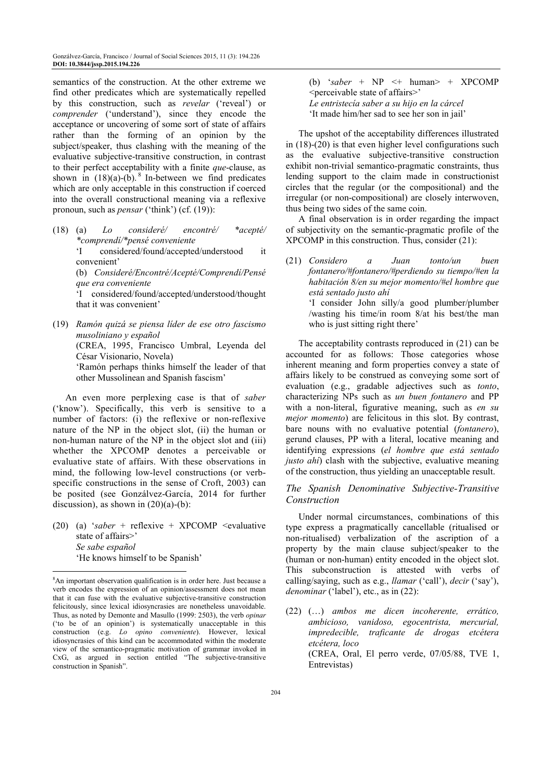semantics of the construction. At the other extreme we find other predicates which are systematically repelled by this construction, such as *revelar* ('reveal') or *comprender* ('understand'), since they encode the acceptance or uncovering of some sort of state of affairs rather than the forming of an opinion by the subject/speaker, thus clashing with the meaning of the evaluative subjective-transitive construction, in contrast to their perfect acceptability with a finite *que*-clause, as shown in  $(18)(a)-(b)$ . <sup>8</sup> In-between we find predicates which are only acceptable in this construction if coerced into the overall constructional meaning via a reflexive pronoun, such as *pensar* ('think') (cf. (19)):

(18) (a) *Lo consideré/ encontré/ \*acepté/ \*comprendí/\*pensé conveniente*

 'I considered/found/accepted/understood it convenient'

 (b) *Consideré/Encontré/Acepté/Comprendí/Pensé que era conveniente* 

 'I considered/found/accepted/understood/thought that it was convenient'

(19) *Ramón quizá se piensa líder de ese otro fascismo musoliniano y español* (CREA, 1995, Francisco Umbral, Leyenda del César Visionario, Novela) 'Ramón perhaps thinks himself the leader of that

other Mussolinean and Spanish fascism'

An even more perplexing case is that of *saber* ('know'). Specifically, this verb is sensitive to a number of factors: (i) the reflexive or non-reflexive nature of the NP in the object slot, (ii) the human or non-human nature of the NP in the object slot and (iii) whether the XPCOMP denotes a perceivable or evaluative state of affairs. With these observations in mind, the following low-level constructions (or verbspecific constructions in the sense of Croft, 2003) can be posited (see Gonzálvez-García, 2014 for further discussion), as shown in  $(20)(a)-(b)$ :

(20) (a) '*saber* + reflexive + XPCOMP  $\le$ evaluative state of affairs>' *Se sabe español*  'He knows himself to be Spanish'

 $\overline{a}$ 

(b)  $\kappa saber + NP \leq + \text{human} > + \text{XPCOMP}$ <perceivable state of affairs>' *Le entristecía saber a su hijo en la cárcel*  'It made him/her sad to see her son in jail'

The upshot of the acceptability differences illustrated in (18)-(20) is that even higher level configurations such as the evaluative subjective-transitive construction exhibit non-trivial semantico-pragmatic constraints, thus lending support to the claim made in constructionist circles that the regular (or the compositional) and the irregular (or non-compositional) are closely interwoven, thus being two sides of the same coin.

A final observation is in order regarding the impact of subjectivity on the semantic-pragmatic profile of the XPCOMP in this construction. Thus, consider (21):

The acceptability contrasts reproduced in (21) can be accounted for as follows: Those categories whose inherent meaning and form properties convey a state of affairs likely to be construed as conveying some sort of evaluation (e.g., gradable adjectives such as *tonto*, characterizing NPs such as *un buen fontanero* and PP with a non-literal, figurative meaning, such as *en su mejor momento*) are felicitous in this slot. By contrast, bare nouns with no evaluative potential (*fontanero*), gerund clauses, PP with a literal, locative meaning and identifying expressions (*el hombre que está sentado justo ahí*) clash with the subjective, evaluative meaning of the construction, thus yielding an unacceptable result.

#### *The Spanish Denominative Subjective-Transitive Construction*

Under normal circumstances, combinations of this type express a pragmatically cancellable (ritualised or non-ritualised) verbalization of the ascription of a property by the main clause subject/speaker to the (human or non-human) entity encoded in the object slot. This subconstruction is attested with verbs of calling/saying, such as e.g., *llamar* ('call'), *decir* ('say'), *denominar* ('label'), etc., as in (22):

(22) (…) *ambos me dicen incoherente, errático, ambicioso, vanidoso, egocentrista, mercurial, impredecible, traficante de drogas etcétera etcétera, loco* (CREA, Oral, El perro verde, 07/05/88, TVE 1, Entrevistas)

<sup>8</sup>An important observation qualification is in order here. Just because a verb encodes the expression of an opinion/assessment does not mean that it can fuse with the evaluative subjective-transitive construction felicitously, since lexical idiosyncrasies are nonetheless unavoidable. Thus, as noted by Demonte and Masullo (1999: 2503), the verb *opinar* ('to be of an opinion') is systematically unacceptable in this construction (e.g. *Lo opino conveniente*). However, lexical idiosyncrasies of this kind can be accommodated within the moderate view of the semantico-pragmatic motivation of grammar invoked in CxG, as argued in section entitled "The subjective-transitive construction in Spanish".

<sup>(21)</sup> *Considero a Juan tonto/un buen fontanero/#fontanero/#perdiendo su tiempo/#en la habitación 8/en su mejor momento/#el hombre que está sentado justo ahí*  'I consider John silly/a good plumber/plumber /wasting his time/in room 8/at his best/the man who is just sitting right there'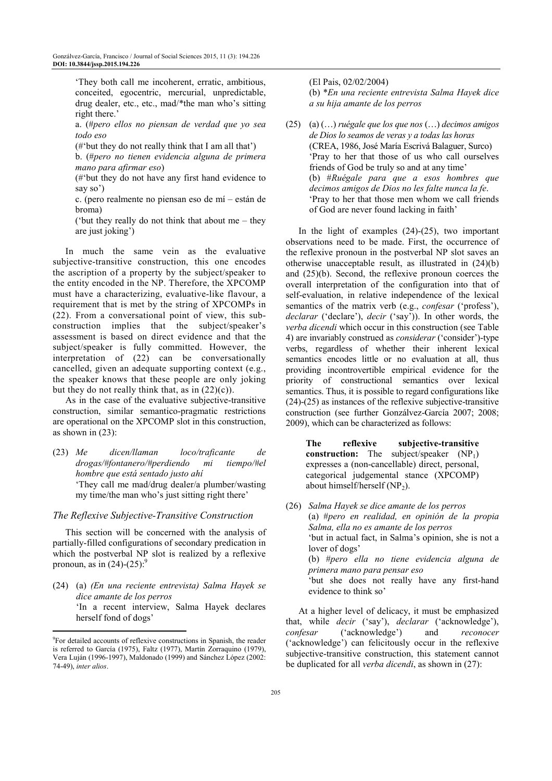'They both call me incoherent, erratic, ambitious, conceited, egocentric, mercurial, unpredictable, drug dealer, etc., etc., mad/\*the man who's sitting right there.'

 a. (#*pero ellos no piensan de verdad que yo sea todo eso* 

(#'but they do not really think that I am all that')

 b. (#*pero no tienen evidencia alguna de primera mano para afirmar eso*)

 (#'but they do not have any first hand evidence to say so')

 c. (pero realmente no piensan eso de mí – están de broma)

 ('but they really do not think that about me – they are just joking')

In much the same vein as the evaluative subjective-transitive construction, this one encodes the ascription of a property by the subject/speaker to the entity encoded in the NP. Therefore, the XPCOMP must have a characterizing, evaluative-like flavour, a requirement that is met by the string of XPCOMPs in (22). From a conversational point of view, this subconstruction implies that the subject/speaker's assessment is based on direct evidence and that the subject/speaker is fully committed. However, the interpretation of (22) can be conversationally cancelled, given an adequate supporting context (e.g., the speaker knows that these people are only joking but they do not really think that, as in  $(22)(c)$ ).

As in the case of the evaluative subjective-transitive construction, similar semantico-pragmatic restrictions are operational on the XPCOMP slot in this construction, as shown in (23):

(23) *Me dicen/llaman loco/traficante de drogas/#fontanero/#perdiendo mi tiempo/#el hombre que está sentado justo ahí*  'They call me mad/drug dealer/a plumber/wasting my time/the man who's just sitting right there'

#### *The Reflexive Subjective-Transitive Construction*

This section will be concerned with the analysis of partially-filled configurations of secondary predication in which the postverbal NP slot is realized by a reflexive pronoun, as in  $(24)-(25)$ :<sup>9</sup>

(24) (a) *(En una reciente entrevista) Salma Hayek se dice amante de los perros* 'In a recent interview, Salma Hayek declares herself fond of dogs'

 $\overline{a}$ 

#### (El Pais, 02/02/2004)

 (b) \**En una reciente entrevista Salma Hayek dice a su hija amante de los perros*

(25) (a) (…) *ruégale que los que nos* (…) *decimos amigos de Dios lo seamos de veras y a todas las horas* (CREA, 1986, José María Escrivá Balaguer, Surco) 'Pray to her that those of us who call ourselves friends of God be truly so and at any time' (b) #*Ruégale para que a esos hombres que decimos amigos de Dios no les falte nunca la fe*. 'Pray to her that those men whom we call friends of God are never found lacking in faith'

In the light of examples  $(24)-(25)$ , two important observations need to be made. First, the occurrence of the reflexive pronoun in the postverbal NP slot saves an otherwise unacceptable result, as illustrated in (24)(b) and (25)(b). Second, the reflexive pronoun coerces the overall interpretation of the configuration into that of self-evaluation, in relative independence of the lexical semantics of the matrix verb (e.g., *confesar* ('profess'), *declarar* ('declare'), *decir* ('say')). In other words, the *verba dicendi* which occur in this construction (see Table 4) are invariably construed as *considerar* ('consider')-type verbs, regardless of whether their inherent lexical semantics encodes little or no evaluation at all, thus providing incontrovertible empirical evidence for the priority of constructional semantics over lexical semantics. Thus, it is possible to regard configurations like (24)-(25) as instances of the reflexive subjective-transitive construction (see further Gonzálvez-García 2007; 2008; 2009), which can be characterized as follows:

**The reflexive subjective-transitive construction:** The subject/speaker (NP<sub>1</sub>) expresses a (non-cancellable) direct, personal, categorical judgemental stance (XPCOMP) about himself/herself  $(NP_2)$ .

(26) *Salma Hayek se dice amante de los perros* (a) #*pero en realidad, en opinión de la propia Salma, ella no es amante de los perros* 'but in actual fact, in Salma's opinion, she is not a lover of dogs' (b) #*pero ella no tiene evidencia alguna de primera mano para pensar eso*

 'but she does not really have any first-hand evidence to think so'

At a higher level of delicacy, it must be emphasized that, while *decir* ('say'), *declarar* ('acknowledge'), *confesar* ('acknowledge') and *reconocer* ('acknowledge') can felicitously occur in the reflexive subjective-transitive construction, this statement cannot be duplicated for all *verba dicendi*, as shown in (27):

<sup>9</sup> For detailed accounts of reflexive constructions in Spanish, the reader is referred to García (1975), Faltz (1977), Martín Zorraquino (1979), Vera Luján (1996-1997), Maldonado (1999) and Sánchez López (2002: 74-49), *inter alios*.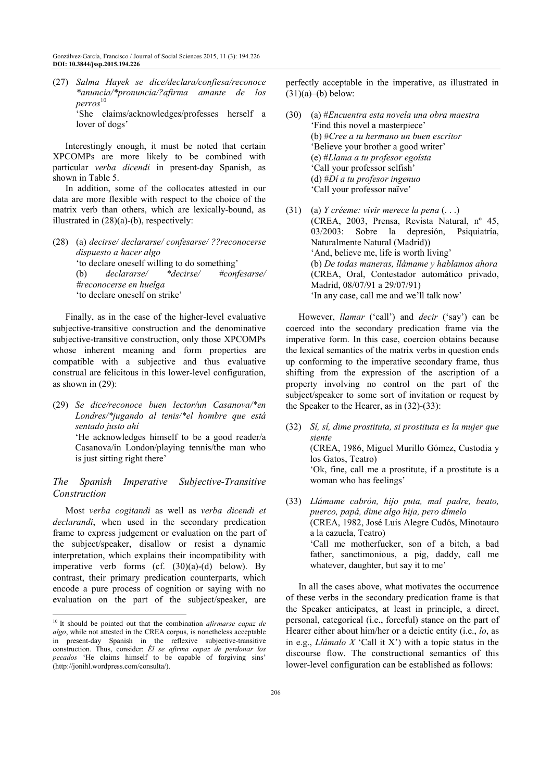(27) *Salma Hayek se dice/declara/confiesa/reconoce \*anuncia/\*pronuncia/?afirma amante de los perros* 10 'She claims/acknowledges/professes herself a lover of dogs'

Interestingly enough, it must be noted that certain XPCOMPs are more likely to be combined with particular *verba dicendi* in present-day Spanish, as shown in Table 5.

In addition, some of the collocates attested in our data are more flexible with respect to the choice of the matrix verb than others, which are lexically-bound, as illustrated in (28)(a)-(b), respectively:

(28) (a) *decirse/ declararse/ confesarse/ ??reconocerse dispuesto a hacer algo* 'to declare oneself willing to do something' (b) *declararse/ \*decirse/ #confesarse/ #reconocerse en huelga* 'to declare oneself on strike'

Finally, as in the case of the higher-level evaluative subjective-transitive construction and the denominative subjective-transitive construction, only those XPCOMPs whose inherent meaning and form properties are compatible with a subjective and thus evaluative construal are felicitous in this lower-level configuration, as shown in (29):

(29) *Se dice/reconoce buen lector/un Casanova/\*en Londres/\*jugando al tenis/\*el hombre que está sentado justo ahí*  'He acknowledges himself to be a good reader/a Casanova/in London/playing tennis/the man who is just sitting right there'

## *The Spanish Imperative Subjective-Transitive Construction*

Most *verba cogitandi* as well as *verba dicendi et declarandi*, when used in the secondary predication frame to express judgement or evaluation on the part of the subject/speaker, disallow or resist a dynamic interpretation, which explains their incompatibility with imperative verb forms (cf. (30)(a)-(d) below). By contrast, their primary predication counterparts, which encode a pure process of cognition or saying with no evaluation on the part of the subject/speaker, are

 $\overline{a}$ 

perfectly acceptable in the imperative, as illustrated in  $(31)(a)$ –(b) below:

- (30) (a) #*Encuentra esta novela una obra maestra* 'Find this novel a masterpiece' (b) #*Cree a tu hermano un buen escritor* 'Believe your brother a good writer' (e) #*Llama a tu profesor egoísta* 'Call your professor selfish' (d) #*Dí a tu profesor ingenuo* 'Call your professor naïve'
- (31) (a) *Y créeme: vivir merece la pena* (. . .) (CREA, 2003, Prensa, Revista Natural, nº 45, 03/2003: Sobre la depresión, Psiquiatría, Naturalmente Natural (Madrid)) 'And, believe me, life is worth living' (b) *De todas maneras, llámame y hablamos ahora* (CREA, Oral, Contestador automático privado, Madrid, 08/07/91 a 29/07/91) 'In any case, call me and we'll talk now'

However, *llamar* ('call') and *decir* ('say') can be coerced into the secondary predication frame via the imperative form. In this case, coercion obtains because the lexical semantics of the matrix verbs in question ends up conforming to the imperative secondary frame, thus shifting from the expression of the ascription of a property involving no control on the part of the subject/speaker to some sort of invitation or request by the Speaker to the Hearer, as in (32)-(33):

- (32) *Sí, sí, dime prostituta, si prostituta es la mujer que siente* (CREA, 1986, Miguel Murillo Gómez, Custodia y los Gatos, Teatro) 'Ok, fine, call me a prostitute, if a prostitute is a woman who has feelings'
- (33) *Llámame cabrón, hijo puta, mal padre, beato, puerco, papá, dime algo hija, pero dímelo* (CREA, 1982, José Luis Alegre Cudós, Minotauro a la cazuela, Teatro) 'Call me motherfucker, son of a bitch, a bad father, sanctimonious, a pig, daddy, call me whatever, daughter, but say it to me'

In all the cases above, what motivates the occurrence of these verbs in the secondary predication frame is that the Speaker anticipates, at least in principle, a direct, personal, categorical (i.e., forceful) stance on the part of Hearer either about him/her or a deictic entity (i.e., *lo*, as in e.g., *Llámalo X* 'Call it X') with a topic status in the discourse flow. The constructional semantics of this lower-level configuration can be established as follows:

<sup>10</sup> It should be pointed out that the combination *afirmarse capaz de algo*, while not attested in the CREA corpus, is nonetheless acceptable in present-day Spanish in the reflexive subjective-transitive construction. Thus, consider: *Él se afirma capaz de perdonar los pecados* 'He claims himself to be capable of forgiving sins' (http://jonihl.wordpress.com/consulta/).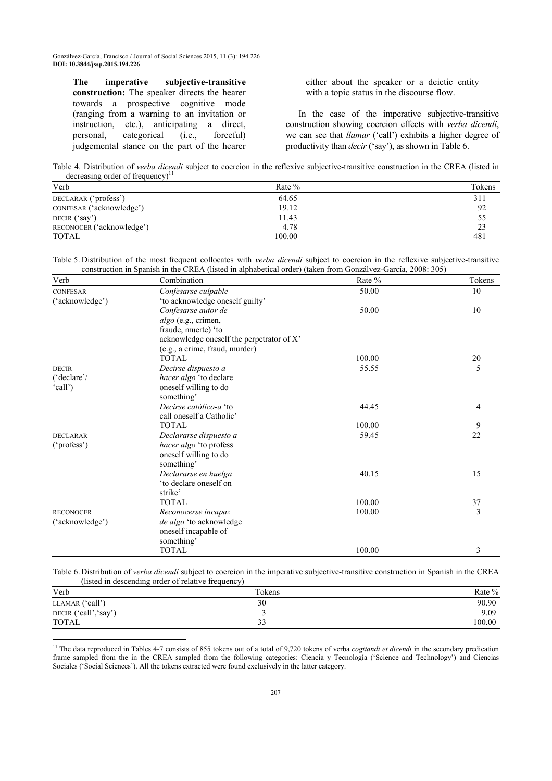**The imperative subjective-transitive construction:** The speaker directs the hearer towards a prospective cognitive mode (ranging from a warning to an invitation or instruction, etc.), anticipating a direct, personal, categorical (i.e., forceful) judgemental stance on the part of the hearer

 $\overline{a}$ 

either about the speaker or a deictic entity with a topic status in the discourse flow.

In the case of the imperative subjective-transitive construction showing coercion effects with *verba dicendi*, we can see that *llamar* ('call') exhibits a higher degree of productivity than *decir* ('say'), as shown in Table 6.

Table 4. Distribution of *verba dicendi* subject to coercion in the reflexive subjective-transitive construction in the CREA (listed in decreasing order of frequency)<sup>11</sup>

| Verb                      | Rate $%$ | Tokens |
|---------------------------|----------|--------|
| DECLARAR ('profess')      | 64.65    | 311    |
| CONFESAR ('acknowledge')  | 19.12    | 92     |
| DECIR ('say')             | 11.43    | 55     |
| RECONOCER ('acknowledge') | 4.78     | 23     |
| <b>TOTAL</b>              | 100.00   | 481    |

Table 5. Distribution of the most frequent collocates with *verba dicendi* subject to coercion in the reflexive subjective-transitive construction in Spanish in the CREA (listed in alphabetical order) (taken from Gonzálvez-García, 2008: 305)

| Verb                  | Combination                               | Rate % | Tokens         |
|-----------------------|-------------------------------------------|--------|----------------|
| <b>CONFESAR</b>       | Confesarse culpable                       | 50.00  | 10             |
| ('acknowledge')       | 'to acknowledge oneself guilty'           |        |                |
|                       | Confesarse autor de                       | 50.00  | 10             |
|                       | algo (e.g., crimen,                       |        |                |
|                       | fraude, muerte) 'to                       |        |                |
|                       | acknowledge oneself the perpetrator of X' |        |                |
|                       | (e.g., a crime, fraud, murder)            |        |                |
|                       | <b>TOTAL</b>                              | 100.00 | $20\,$         |
| <b>DECIR</b>          | Decirse dispuesto a                       | 55.55  | 5              |
| $(^{\circ}$ declare'/ | hacer algo 'to declare                    |        |                |
| 'call')               | oneself willing to do                     |        |                |
|                       | something'                                |        |                |
|                       | Decirse católico-a 'to                    | 44.45  | $\overline{4}$ |
|                       | call oneself a Catholic'                  |        |                |
|                       | <b>TOTAL</b>                              | 100.00 | 9              |
| <b>DECLARAR</b>       | Declararse dispuesto a                    | 59.45  | 22             |
| ('profess')           | hacer algo 'to profess                    |        |                |
|                       | oneself willing to do                     |        |                |
|                       | something'                                |        |                |
|                       | Declararse en huelga                      | 40.15  | 15             |
|                       | 'to declare oneself on                    |        |                |
|                       | strike'                                   |        |                |
|                       | <b>TOTAL</b>                              | 100.00 | 37             |
| <b>RECONOCER</b>      | Reconocerse incapaz                       | 100.00 | 3              |
| ('acknowledge')       | de algo 'to acknowledge                   |        |                |
|                       | oneself incapable of                      |        |                |
|                       | something'                                |        |                |
|                       | <b>TOTAL</b>                              | 100.00 | 3              |

Table 6. Distribution of *verba dicendi* subject to coercion in the imperative subjective-transitive construction in Spanish in the CREA (listed in descending order of relative frequency)

| Verb                  | Tokens | Rate % |
|-----------------------|--------|--------|
| LLAMAR ('call')       | 30     | 90.90  |
| DECIR ('call', 'say') |        | 9.09   |
| <b>TOTAL</b>          | $\sim$ | 100.00 |

<sup>&</sup>lt;sup>11</sup> The data reproduced in Tables 4-7 consists of 855 tokens out of a total of 9,720 tokens of verba *cogitandi et dicendi* in the secondary predication frame sampled from the in the CREA sampled from the following categories: Ciencia y Tecnología ('Science and Technology') and Ciencias Sociales ('Social Sciences'). All the tokens extracted were found exclusively in the latter category.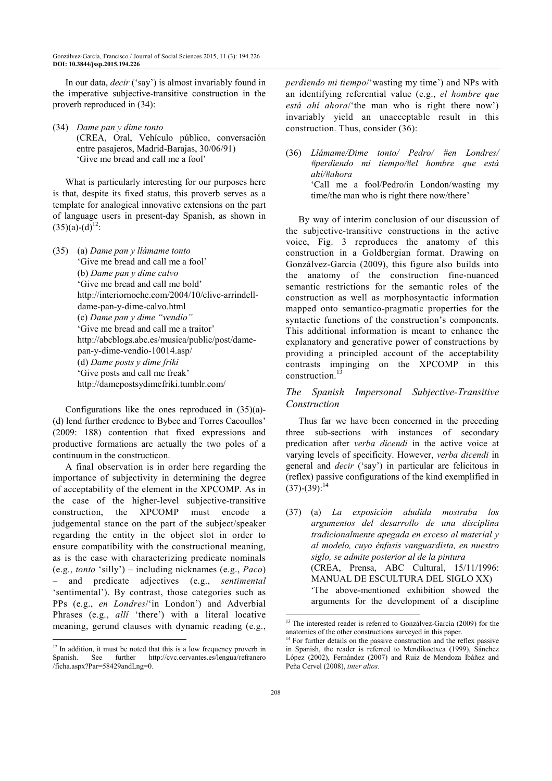In our data, *decir* ('say') is almost invariably found in the imperative subjective-transitive construction in the proverb reproduced in (34):

(34) *Dame pan y dime tonto*  (CREA, Oral, Vehículo público, conversación entre pasajeros, Madrid-Barajas, 30/06/91) 'Give me bread and call me a fool'

What is particularly interesting for our purposes here is that, despite its fixed status, this proverb serves as a template for analogical innovative extensions on the part of language users in present-day Spanish, as shown in  $(35)(a)-(d)^{12}$ :

(35) (a) *Dame pan y llámame tonto* 'Give me bread and call me a fool' (b) *Dame pan y dime calvo*  'Give me bread and call me bold' http://interiornoche.com/2004/10/clive-arrindelldame-pan-y-dime-calvo.html (c) *Dame pan y dime "vendío"* 'Give me bread and call me a traitor' http://abcblogs.abc.es/musica/public/post/damepan-y-dime-vendio-10014.asp/ (d) *Dame posts y dime friki* 'Give posts and call me freak' http://damepostsydimefriki.tumblr.com/

Configurations like the ones reproduced in (35)(a)- (d) lend further credence to Bybee and Torres Cacoullos' (2009: 188) contention that fixed expressions and productive formations are actually the two poles of a continuum in the constructicon.

A final observation is in order here regarding the importance of subjectivity in determining the degree of acceptability of the element in the XPCOMP. As in the case of the higher-level subjective-transitive construction, the XPCOMP must encode a judgemental stance on the part of the subject/speaker regarding the entity in the object slot in order to ensure compatibility with the constructional meaning, as is the case with characterizing predicate nominals (e.g., *tonto* 'silly') – including nicknames (e.g., *Paco*) – and predicate adjectives (e.g., *sentimental* 'sentimental'). By contrast, those categories such as PPs (e.g., *en Londres*/'in London') and Adverbial Phrases (e.g., *allí* 'there') with a literal locative meaning, gerund clauses with dynamic reading (e.g.,

*perdiendo mi tiempo*/'wasting my time') and NPs with an identifying referential value (e.g., *el hombre que está ahí ahora*/'the man who is right there now') invariably yield an unacceptable result in this construction. Thus, consider (36):

(36) *Llámame/Dime tonto/ Pedro/ #en Londres/ #perdiendo mi tiempo/#el hombre que está ahí/#ahora* 'Call me a fool/Pedro/in London/wasting my time/the man who is right there now/there'

By way of interim conclusion of our discussion of the subjective-transitive constructions in the active voice, Fig. 3 reproduces the anatomy of this construction in a Goldbergian format. Drawing on Gonzálvez-García (2009), this figure also builds into the anatomy of the construction fine-nuanced semantic restrictions for the semantic roles of the construction as well as morphosyntactic information mapped onto semantico-pragmatic properties for the syntactic functions of the construction's components. This additional information is meant to enhance the explanatory and generative power of constructions by providing a principled account of the acceptability contrasts impinging on the XPCOMP in this construction $13$ 

#### *The Spanish Impersonal Subjective-Transitive Construction*

Thus far we have been concerned in the preceding three sub-sections with instances of secondary predication after *verba dicendi* in the active voice at varying levels of specificity. However, *verba dicendi* in general and *decir* ('say') in particular are felicitous in (reflex) passive configurations of the kind exemplified in  $(37)$ - $(39)$ :<sup>14</sup>

(37) (a) *La exposición aludida mostraba los argumentos del desarrollo de una disciplina tradicionalmente apegada en exceso al material y al modelo, cuyo énfasis vanguardista, en nuestro siglo, se admite posterior al de la pintura* (CREA, Prensa, ABC Cultural, 15/11/1996: MANUAL DE ESCULTURA DEL SIGLO XX) 'The above-mentioned exhibition showed the arguments for the development of a discipline  $\overline{a}$ 

 $\overline{a}$  $12$  In addition, it must be noted that this is a low frequency proverb in Spanish. See further http://cvc.cervantes.es/lengua/refranero /ficha.aspx?Par=58429andLng=0.

<sup>&</sup>lt;sup>13</sup> The interested reader is referred to Gonzálvez-García (2009) for the anatomies of the other constructions surveyed in this paper.

<sup>&</sup>lt;sup>14</sup> For further details on the passive construction and the reflex passive in Spanish, the reader is referred to Mendikoetxea (1999), Sánchez López (2002), Fernández (2007) and Ruiz de Mendoza Ibáñez and Peña Cervel (2008), *inter alios*.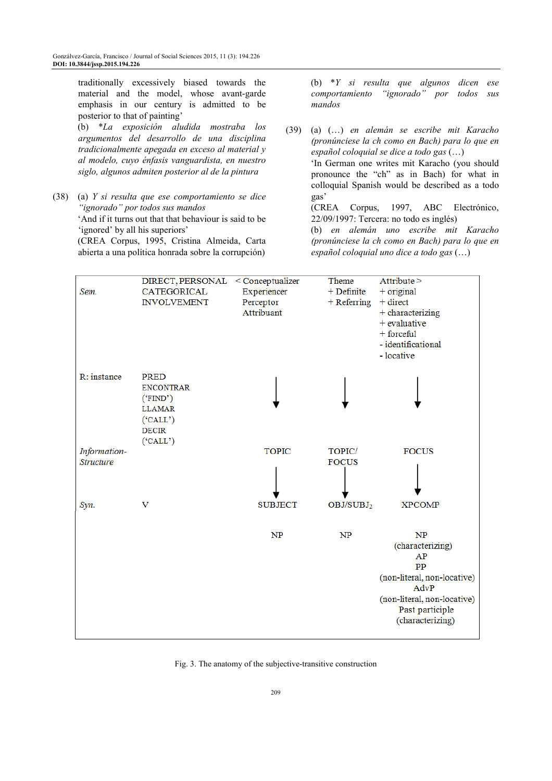traditionally excessively biased towards the material and the model, whose avant-garde emphasis in our century is admitted to be posterior to that of painting' (b) \**La exposición aludida mostraba los argumentos del desarrollo de una disciplina* 

*tradicionalmente apegada en exceso al material y al modelo, cuyo énfasis vanguardista, en nuestro siglo, algunos admiten posterior al de la pintura*

(38) (a) *Y si resulta que ese comportamiento se dice "ignorado" por todos sus mandos*

 'And if it turns out that that behaviour is said to be 'ignored' by all his superiors'

 (CREA Corpus, 1995, Cristina Almeida, Carta abierta a una política honrada sobre la corrupción)

 (b) \**Y si resulta que algunos dicen ese comportamiento "ignorado" por todos sus mandos*

(39) (a) (…) *en alemán se escribe mit Karacho (pronúnciese la ch como en Bach) para lo que en español coloquial se dice a todo gas* (…) 'In German one writes mit Karacho (you should pronounce the "ch" as in Bach) for what in colloquial Spanish would be described as a todo gas' (CREA Corpus, 1997, ABC Electrónico, 22/09/1997: Tercera: no todo es inglés)

 (b) *en alemán uno escribe mit Karacho (pronúnciese la ch como en Bach) para lo que en español coloquial uno dice a todo gas* (…)

| Sem.                             | DIRECT, PERSONAL < Conceptualizer<br>CATEGORICAL<br><b>INVOLVEMENT</b>                               | Experiencer<br>Perceptor<br>Attribuant | Theme<br>$+$ Definite<br>+ Referring | Attribute ><br>$+$ original<br>$+$ direct<br>$\,$ + characterizing<br>$+$ evaluative<br>$+$ forceful<br>- identificational<br>- locative        |
|----------------------------------|------------------------------------------------------------------------------------------------------|----------------------------------------|--------------------------------------|-------------------------------------------------------------------------------------------------------------------------------------------------|
| R: instance                      | <b>PRED</b><br><b>ENCONTRAR</b><br>('FIND')<br><b>LLAMAR</b><br>('CALL')<br><b>DECIR</b><br>('CALL') |                                        |                                      |                                                                                                                                                 |
| Information-<br><b>Structure</b> |                                                                                                      | <b>TOPIC</b>                           | TOPIC/<br><b>FOCUS</b>               | <b>FOCUS</b>                                                                                                                                    |
| Syn.                             | v                                                                                                    | <b>SUBJECT</b>                         | OBJ/SUBJ <sub>2</sub>                | <b>XPCOMP</b>                                                                                                                                   |
|                                  |                                                                                                      | NP                                     | NP                                   | NP<br>(characterizing)<br>AP<br>PP<br>(non-literal, non-locative)<br>AdvP<br>(non-literal, non-locative)<br>Past participle<br>(characterizing) |

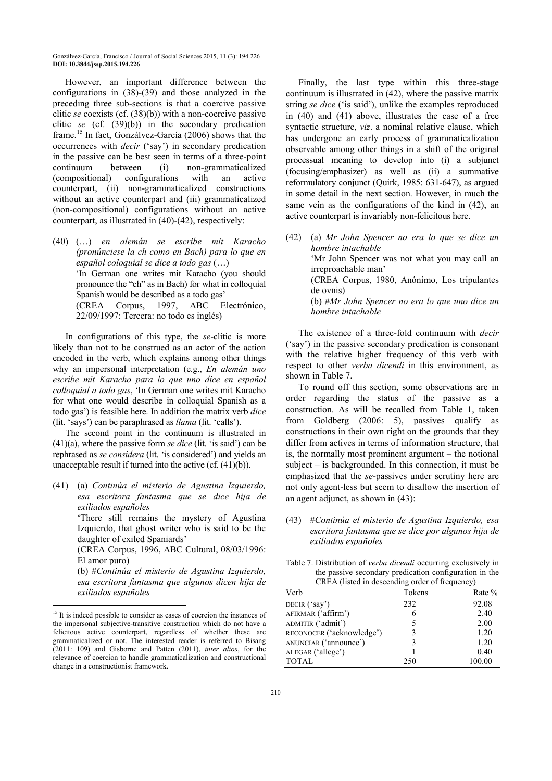However, an important difference between the configurations in (38)-(39) and those analyzed in the preceding three sub-sections is that a coercive passive clitic *se* coexists (cf. (38)(b)) with a non-coercive passive clitic *se* (cf. (39)(b)) in the secondary predication frame.<sup>15</sup> In fact, Gonzálvez-García (2006) shows that the occurrences with *decir* ('say') in secondary predication in the passive can be best seen in terms of a three-point continuum between (i) non-grammaticalized<br>(compositional) configurations with an active (compositional) configurations with an active counterpart, (ii) non-grammaticalized constructions without an active counterpart and (iii) grammaticalized (non-compositional) configurations without an active counterpart, as illustrated in (40)-(42), respectively:

(40) (…) *en alemán se escribe mit Karacho (pronúnciese la ch como en Bach) para lo que en español coloquial se dice a todo gas* (…) 'In German one writes mit Karacho (you should pronounce the "ch" as in Bach) for what in colloquial Spanish would be described as a todo gas' (CREA Corpus, 1997, ABC Electrónico, 22/09/1997: Tercera: no todo es inglés)

In configurations of this type, the *se*-clitic is more likely than not to be construed as an actor of the action encoded in the verb, which explains among other things why an impersonal interpretation (e.g., *En alemán uno escribe mit Karacho para lo que uno dice en español colloquial a todo gas*, 'In German one writes mit Karacho for what one would describe in colloquial Spanish as a todo gas') is feasible here. In addition the matrix verb *dice* (lit. 'says') can be paraphrased as *llama* (lit. 'calls').

The second point in the continuum is illustrated in (41)(a), where the passive form *se dice* (lit. 'is said') can be rephrased as *se considera* (lit. 'is considered') and yields an unacceptable result if turned into the active (cf. (41)(b)).

(41) (a) *Continúa el misterio de Agustina Izquierdo, esa escritora fantasma que se dice hija de exiliados españoles*

> 'There still remains the mystery of Agustina Izquierdo, that ghost writer who is said to be the daughter of exiled Spaniards'

> (CREA Corpus, 1996, ABC Cultural, 08/03/1996: El amor puro)

> (b) #*Continúa el misterio de Agustina Izquierdo, esa escritora fantasma que algunos dicen hija de exiliados españoles*

 $\overline{a}$ 

Finally, the last type within this three-stage continuum is illustrated in (42), where the passive matrix string *se dice* ('is said'), unlike the examples reproduced in (40) and (41) above, illustrates the case of a free syntactic structure, *viz*. a nominal relative clause, which has undergone an early process of grammaticalization observable among other things in a shift of the original processual meaning to develop into (i) a subjunct (focusing/emphasizer) as well as (ii) a summative reformulatory conjunct (Quirk, 1985: 631-647), as argued in some detail in the next section. However, in much the same vein as the configurations of the kind in (42), an active counterpart is invariably non-felicitous here.

(42) (a) *Mr John Spencer no era lo que se dice un hombre intachable*  'Mr John Spencer was not what you may call an irreproachable man' (CREA Corpus, 1980, Anónimo, Los tripulantes de ovnis) (b) #*Mr John Spencer no era lo que uno dice un hombre intachable*

The existence of a three-fold continuum with *decir* ('say') in the passive secondary predication is consonant with the relative higher frequency of this verb with respect to other *verba dicendi* in this environment, as shown in Table 7.

To round off this section, some observations are in order regarding the status of the passive as a construction. As will be recalled from Table 1, taken from Goldberg (2006: 5), passives qualify as constructions in their own right on the grounds that they differ from actives in terms of information structure, that is, the normally most prominent argument – the notional subject – is backgrounded. In this connection, it must be emphasized that the *se*-passives under scrutiny here are not only agent-less but seem to disallow the insertion of an agent adjunct, as shown in (43):

- (43) #*Continúa el misterio de Agustina Izquierdo, esa escritora fantasma que se dice por algunos hija de exiliados españoles*
- Table 7. Distribution of *verba dicendi* occurring exclusively in the passive secondary predication configuration in the CREA (listed in descending order of frequency)

| Verb                      | Tokens | Rate % |
|---------------------------|--------|--------|
| DECIR $('say')$           | 232    | 92.08  |
| AFIRMAR ('affirm')        | 6      | 2.40   |
| ADMITIR ('admit')         |        | 2.00   |
| RECONOCER ('acknowledge') |        | 1.20   |
| ANUNCIAR ('announce')     |        | 1.20   |
| ALEGAR ('allege')         |        | 0.40   |
| <b>TOTAL</b>              | 250    | 100.00 |

<sup>&</sup>lt;sup>15</sup> It is indeed possible to consider as cases of coercion the instances of the impersonal subjective-transitive construction which do not have a felicitous active counterpart, regardless of whether these are grammaticalized or not. The interested reader is referred to Bisang (2011: 109) and Gisborne and Patten (2011), *inter alios*, for the relevance of coercion to handle grammaticalization and constructional change in a constructionist framework.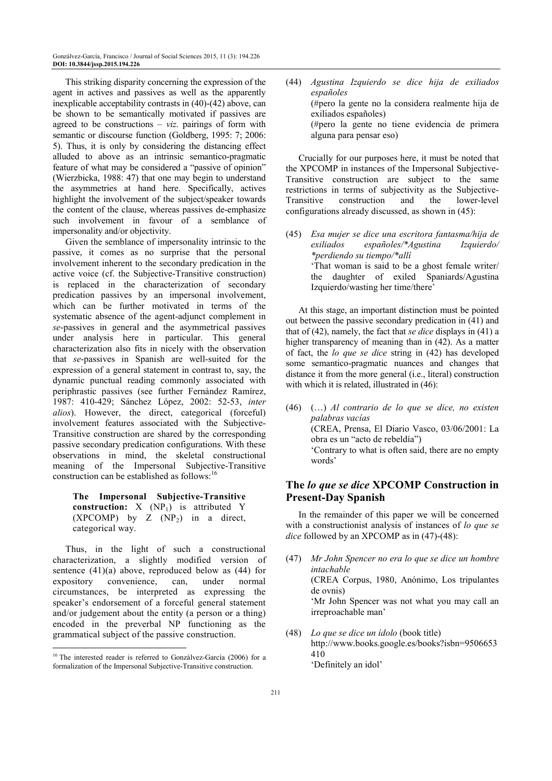This striking disparity concerning the expression of the agent in actives and passives as well as the apparently inexplicable acceptability contrasts in (40)-(42) above, can be shown to be semantically motivated if passives are agreed to be constructions  $- viz.$  pairings of form with semantic or discourse function (Goldberg, 1995: 7; 2006: 5). Thus, it is only by considering the distancing effect alluded to above as an intrinsic semantico-pragmatic feature of what may be considered a "passive of opinion" (Wierzbicka, 1988: 47) that one may begin to understand the asymmetries at hand here. Specifically, actives highlight the involvement of the subject/speaker towards the content of the clause, whereas passives de-emphasize such involvement in favour of a semblance of impersonality and/or objectivity.

Given the semblance of impersonality intrinsic to the passive, it comes as no surprise that the personal involvement inherent to the secondary predication in the active voice (cf. the Subjective-Transitive construction) is replaced in the characterization of secondary predication passives by an impersonal involvement, which can be further motivated in terms of the systematic absence of the agent-adjunct complement in *se*-passives in general and the asymmetrical passives under analysis here in particular. This general characterization also fits in nicely with the observation that *se*-passives in Spanish are well-suited for the expression of a general statement in contrast to, say, the dynamic punctual reading commonly associated with periphrastic passives (see further Fernández Ramírez, 1987: 410-429; Sánchez López, 2002: 52-53, *inter alios*). However, the direct, categorical (forceful) involvement features associated with the Subjective-Transitive construction are shared by the corresponding passive secondary predication configurations. With these observations in mind, the skeletal constructional meaning of the Impersonal Subjective-Transitive construction can be established as follows:<sup>16</sup>

#### **The Impersonal Subjective-Transitive construction:**  $X (NP<sub>1</sub>)$  is attributed Y (XPCOMP) by Z  $(NP_2)$  in a direct, categorical way.

Thus, in the light of such a constructional characterization, a slightly modified version of sentence  $(41)(a)$  above, reproduced below as  $(44)$  for expository convenience, can, under normal circumstances, be interpreted as expressing the speaker's endorsement of a forceful general statement and/or judgement about the entity (a person or a thing) encoded in the preverbal NP functioning as the grammatical subject of the passive construction.

 $\overline{a}$ 

(44) *Agustina Izquierdo se dice hija de exiliados españoles*  (#pero la gente no la considera realmente hija de exiliados españoles) (#pero la gente no tiene evidencia de primera alguna para pensar eso)

Crucially for our purposes here, it must be noted that the XPCOMP in instances of the Impersonal Subjective-Transitive construction are subject to the same restrictions in terms of subjectivity as the Subjective-Transitive construction and the lower-level configurations already discussed, as shown in (45):

(45) *Esa mujer se dice una escritora fantasma/hija de exiliados españoles/\*Agustina Izquierdo/ \*perdiendo su tiempo/\*allí* 'That woman is said to be a ghost female writer/ the daughter of exiled Spaniards/Agustina Izquierdo/wasting her time/there'

At this stage, an important distinction must be pointed out between the passive secondary predication in (41) and that of (42), namely, the fact that *se dice* displays in (41) a higher transparency of meaning than in (42). As a matter of fact, the *lo que se dice* string in (42) has developed some semantico-pragmatic nuances and changes that distance it from the more general (i.e., literal) construction with which it is related, illustrated in  $(46)$ :

(46) (…) *Al contrario de lo que se dice, no existen palabras vacías* (CREA, Prensa, El Diario Vasco, 03/06/2001: La obra es un "acto de rebeldía") 'Contrary to what is often said, there are no empty words'

# **The** *lo que se dice* **XPCOMP Construction in Present-Day Spanish**

In the remainder of this paper we will be concerned with a constructionist analysis of instances of *lo que se dice* followed by an XPCOMP as in (47)-(48):

- (47) *Mr John Spencer no era lo que se dice un hombre intachable* (CREA Corpus, 1980, Anónimo, Los tripulantes de ovnis) 'Mr John Spencer was not what you may call an irreproachable man'
- (48) *Lo que se dice un ídolo* (book title) http://www.books.google.es/books?isbn=9506653 410 'Definitely an idol'

<sup>&</sup>lt;sup>16</sup> The interested reader is referred to Gonzálvez-García (2006) for a formalization of the Impersonal Subjective-Transitive construction.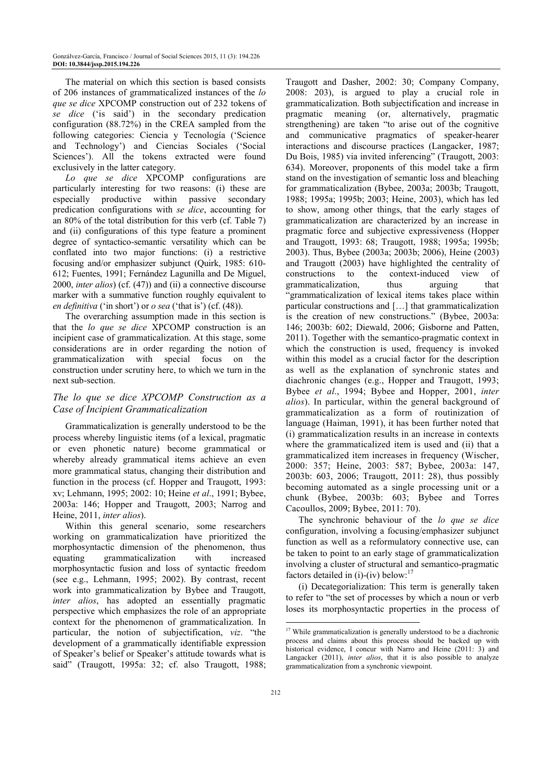The material on which this section is based consists of 206 instances of grammaticalized instances of the *lo que se dice* XPCOMP construction out of 232 tokens of *se dice* ('is said') in the secondary predication configuration (88.72%) in the CREA sampled from the following categories: Ciencia y Tecnología ('Science and Technology') and Ciencias Sociales ('Social Sciences'). All the tokens extracted were found exclusively in the latter category.

*Lo que se dice* XPCOMP configurations are particularly interesting for two reasons: (i) these are especially productive within passive secondary predication configurations with *se dice*, accounting for an 80% of the total distribution for this verb (cf. Table 7) and (ii) configurations of this type feature a prominent degree of syntactico-semantic versatility which can be conflated into two major functions: (i) a restrictive focusing and/or emphasizer subjunct (Quirk, 1985: 610- 612; Fuentes, 1991; Fernández Lagunilla and De Miguel, 2000, *inter alios*) (cf. (47)) and (ii) a connective discourse marker with a summative function roughly equivalent to *en definitiva* ('in short') or *o sea* ('that is') (cf. (48)).

The overarching assumption made in this section is that the *lo que se dice* XPCOMP construction is an incipient case of grammaticalization. At this stage, some considerations are in order regarding the notion of grammaticalization with special focus on the construction under scrutiny here, to which we turn in the next sub-section.

# *The lo que se dice XPCOMP Construction as a Case of Incipient Grammaticalization*

Grammaticalization is generally understood to be the process whereby linguistic items (of a lexical, pragmatic or even phonetic nature) become grammatical or whereby already grammatical items achieve an even more grammatical status, changing their distribution and function in the process (cf. Hopper and Traugott, 1993; xv; Lehmann, 1995; 2002: 10; Heine *et al*., 1991; Bybee, 2003a: 146; Hopper and Traugott, 2003; Narrog and Heine, 2011, *inter alios*).

Within this general scenario, some researchers working on grammaticalization have prioritized the morphosyntactic dimension of the phenomenon, thus equating grammaticalization with increased morphosyntactic fusion and loss of syntactic freedom (see e.g., Lehmann, 1995; 2002). By contrast, recent work into grammaticalization by Bybee and Traugott, *inter alios*, has adopted an essentially pragmatic perspective which emphasizes the role of an appropriate context for the phenomenon of grammaticalization. In particular, the notion of subjectification, *viz*. "the development of a grammatically identifiable expression of Speaker's belief or Speaker's attitude towards what is said" (Traugott, 1995a: 32; cf. also Traugott, 1988;

Traugott and Dasher, 2002: 30; Company Company, 2008: 203), is argued to play a crucial role in grammaticalization. Both subjectification and increase in pragmatic meaning (or, alternatively, pragmatic strengthening) are taken "to arise out of the cognitive and communicative pragmatics of speaker-hearer interactions and discourse practices (Langacker, 1987; Du Bois, 1985) via invited inferencing" (Traugott, 2003: 634). Moreover, proponents of this model take a firm stand on the investigation of semantic loss and bleaching for grammaticalization (Bybee, 2003a; 2003b; Traugott, 1988; 1995a; 1995b; 2003; Heine, 2003), which has led to show, among other things, that the early stages of grammaticalization are characterized by an increase in pragmatic force and subjective expressiveness (Hopper and Traugott, 1993: 68; Traugott, 1988; 1995a; 1995b; 2003). Thus, Bybee (2003a; 2003b; 2006), Heine (2003) and Traugott (2003) have highlighted the centrality of constructions to the context-induced view of grammaticalization, thus arguing that "grammaticalization of lexical items takes place within particular constructions and […] that grammaticalization is the creation of new constructions." (Bybee, 2003a: 146; 2003b: 602; Diewald, 2006; Gisborne and Patten, 2011). Together with the semantico-pragmatic context in which the construction is used, frequency is invoked within this model as a crucial factor for the description as well as the explanation of synchronic states and diachronic changes (e.g., Hopper and Traugott, 1993; Bybee *et al*., 1994; Bybee and Hopper, 2001, *inter alios*). In particular, within the general background of grammaticalization as a form of routinization of language (Haiman, 1991), it has been further noted that (i) grammaticalization results in an increase in contexts where the grammaticalized item is used and (ii) that a grammaticalized item increases in frequency (Wischer, 2000: 357; Heine, 2003: 587; Bybee, 2003a: 147, 2003b: 603, 2006; Traugott, 2011: 28), thus possibly becoming automated as a single processing unit or a chunk (Bybee, 2003b: 603; Bybee and Torres Cacoullos, 2009; Bybee, 2011: 70).

The synchronic behaviour of the *lo que se dice* configuration, involving a focusing/emphasizer subjunct function as well as a reformulatory connective use, can be taken to point to an early stage of grammaticalization involving a cluster of structural and semantico-pragmatic factors detailed in (i)-(iv) below: $^{17}$ 

(i) Decategorialization: This term is generally taken to refer to "the set of processes by which a noun or verb loses its morphosyntactic properties in the process of

 $\overline{a}$ 

<sup>&</sup>lt;sup>17</sup> While grammaticalization is generally understood to be a diachronic process and claims about this process should be backed up with historical evidence, I concur with Narro and Heine (2011: 3) and Langacker (2011), *inter alios*, that it is also possible to analyze grammaticalization from a synchronic viewpoint.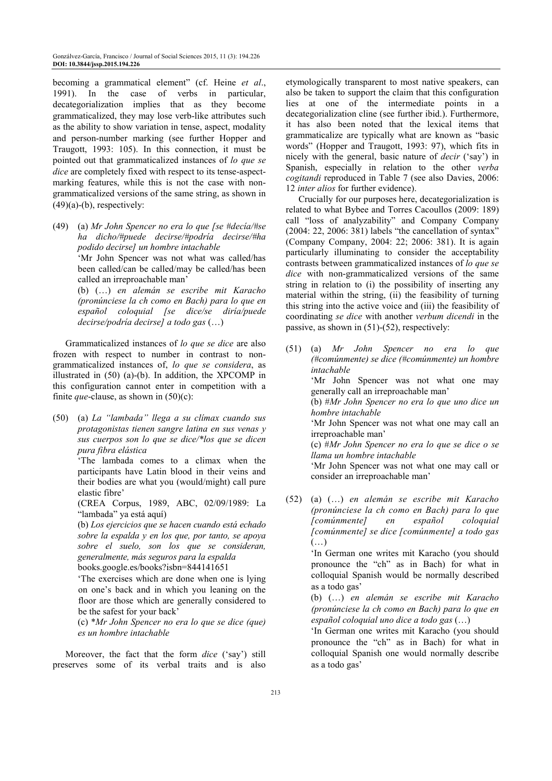becoming a grammatical element" (cf. Heine *et al*., 1991). In the case of verbs in particular, decategorialization implies that as they become grammaticalized, they may lose verb-like attributes such as the ability to show variation in tense, aspect, modality and person-number marking (see further Hopper and Traugott, 1993: 105). In this connection, it must be pointed out that grammaticalized instances of *lo que se dice* are completely fixed with respect to its tense-aspectmarking features, while this is not the case with nongrammaticalized versions of the same string, as shown in  $(49)(a)-(b)$ , respectively:

(49) (a) *Mr John Spencer no era lo que [se #decía/#se ha dicho/#puede decirse/#podría decirse/#ha podido decirse] un hombre intachable* 'Mr John Spencer was not what was called/has been called/can be called/may be called/has been called an irreproachable man'

 (b) (…) *en alemán se escribe mit Karacho (pronúnciese la ch como en Bach) para lo que en español coloquial [se dice/se diría/puede decirse/podría decirse] a todo gas* (…)

Grammaticalized instances of *lo que se dice* are also frozen with respect to number in contrast to nongrammaticalized instances of, *lo que se considera*, as illustrated in (50) (a)-(b). In addition, the XPCOMP in this configuration cannot enter in competition with a finite *que*-clause, as shown in (50)(c):

(50) (a) *La "lambada" llega a su clímax cuando sus protagonistas tienen sangre latina en sus venas y sus cuerpos son lo que se dice/\*los que se dicen pura fibra elástica*

> 'The lambada comes to a climax when the participants have Latin blood in their veins and their bodies are what you (would/might) call pure elastic fibre'

> (CREA Corpus, 1989, ABC, 02/09/1989: La "lambada" ya está aquí)

> (b) *Los ejercicios que se hacen cuando está echado sobre la espalda y en los que, por tanto, se apoya sobre el suelo, son los que se consideran, generalmente, más seguros para la espalda* books.google.es/books?isbn=844141651

> 'The exercises which are done when one is lying on one's back and in which you leaning on the floor are those which are generally considered to be the safest for your back'

> (c) \**Mr John Spencer no era lo que se dice (que) es un hombre intachable*

Moreover, the fact that the form *dice* ('say') still preserves some of its verbal traits and is also etymologically transparent to most native speakers, can also be taken to support the claim that this configuration lies at one of the intermediate points in a decategorialization cline (see further ibid.). Furthermore, it has also been noted that the lexical items that grammaticalize are typically what are known as "basic words" (Hopper and Traugott, 1993: 97), which fits in nicely with the general, basic nature of *decir* ('say') in Spanish, especially in relation to the other *verba cogitandi* reproduced in Table 7 (see also Davies, 2006: 12 *inter alios* for further evidence).

Crucially for our purposes here, decategorialization is related to what Bybee and Torres Cacoullos (2009: 189) call "loss of analyzability" and Company Company (2004: 22, 2006: 381) labels "the cancellation of syntax" (Company Company, 2004: 22; 2006: 381). It is again particularly illuminating to consider the acceptability contrasts between grammaticalized instances of *lo que se dice* with non-grammaticalized versions of the same string in relation to (i) the possibility of inserting any material within the string, (ii) the feasibility of turning this string into the active voice and (iii) the feasibility of coordinating *se dice* with another *verbum dicendi* in the passive, as shown in (51)-(52), respectively:

- (51) (a) *Mr John Spencer no era lo que (#comúnmente) se dice (#comúnmente) un hombre intachable* 'Mr John Spencer was not what one may generally call an irreproachable man' (b) #*Mr John Spencer no era lo que uno dice un hombre intachable* 'Mr John Spencer was not what one may call an irreproachable man' (c) #*Mr John Spencer no era lo que se dice o se llama un hombre intachable* 'Mr John Spencer was not what one may call or
- (52) (a) (…) *en alemán se escribe mit Karacho (pronúnciese la ch como en Bach) para lo que [comúnmente] en español coloquial [comúnmente] se dice [comúnmente] a todo gas* (…)

consider an irreproachable man'

 'In German one writes mit Karacho (you should pronounce the "ch" as in Bach) for what in colloquial Spanish would be normally described as a todo gas'

 (b) (…) *en alemán se escribe mit Karacho (pronúnciese la ch como en Bach) para lo que en español coloquial uno dice a todo gas* (…)

 'In German one writes mit Karacho (you should pronounce the "ch" as in Bach) for what in colloquial Spanish one would normally describe as a todo gas'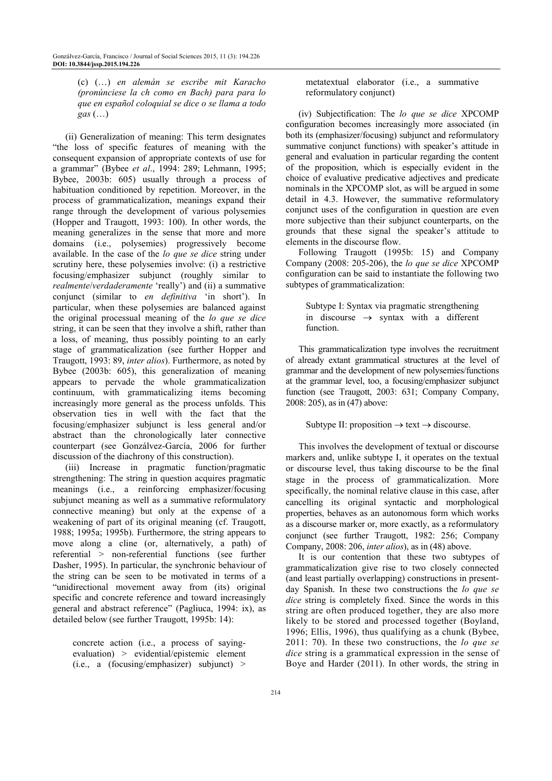(c) (…) *en alemán se escribe mit Karacho (pronúnciese la ch como en Bach) para para lo que en español coloquial se dice o se llama a todo gas* (…)

(ii) Generalization of meaning: This term designates "the loss of specific features of meaning with the consequent expansion of appropriate contexts of use for a grammar" (Bybee *et al*., 1994: 289; Lehmann, 1995; Bybee, 2003b: 605) usually through a process of habituation conditioned by repetition. Moreover, in the process of grammaticalization, meanings expand their range through the development of various polysemies (Hopper and Traugott, 1993: 100). In other words, the meaning generalizes in the sense that more and more domains (i.e., polysemies) progressively become available. In the case of the *lo que se dice* string under scrutiny here, these polysemies involve: (i) a restrictive focusing/emphasizer subjunct (roughly similar to *realmente*/*verdaderamente* 'really') and (ii) a summative conjunct (similar to *en definitiva* 'in short'). In particular, when these polysemies are balanced against the original processual meaning of the *lo que se dice* string, it can be seen that they involve a shift, rather than a loss, of meaning, thus possibly pointing to an early stage of grammaticalization (see further Hopper and Traugott, 1993: 89, *inter alios*). Furthermore, as noted by Bybee (2003b: 605), this generalization of meaning appears to pervade the whole grammaticalization continuum, with grammaticalizing items becoming increasingly more general as the process unfolds. This observation ties in well with the fact that the focusing/emphasizer subjunct is less general and/or abstract than the chronologically later connective counterpart (see Gonzálvez-García, 2006 for further discussion of the diachrony of this construction).

(iii) Increase in pragmatic function/pragmatic strengthening: The string in question acquires pragmatic meanings (i.e., a reinforcing emphasizer/focusing subjunct meaning as well as a summative reformulatory connective meaning) but only at the expense of a weakening of part of its original meaning (cf. Traugott, 1988; 1995a; 1995b). Furthermore, the string appears to move along a cline (or, alternatively, a path) of referential > non-referential functions (see further Dasher, 1995). In particular, the synchronic behaviour of the string can be seen to be motivated in terms of a "unidirectional movement away from (its) original specific and concrete reference and toward increasingly general and abstract reference" (Pagliuca, 1994: ix), as detailed below (see further Traugott, 1995b: 14):

concrete action (i.e., a process of sayingevaluation) > evidential/epistemic element (i.e., a (focusing/emphasizer) subjunct) >

metatextual elaborator (i.e., a summative reformulatory conjunct)

(iv) Subjectification: The *lo que se dice* XPCOMP configuration becomes increasingly more associated (in both its (emphasizer/focusing) subjunct and reformulatory summative conjunct functions) with speaker's attitude in general and evaluation in particular regarding the content of the proposition, which is especially evident in the choice of evaluative predicative adjectives and predicate nominals in the XPCOMP slot, as will be argued in some detail in 4.3. However, the summative reformulatory conjunct uses of the configuration in question are even more subjective than their subjunct counterparts, on the grounds that these signal the speaker's attitude to elements in the discourse flow.

Following Traugott (1995b: 15) and Company Company (2008: 205-206), the *lo que se dice* XPCOMP configuration can be said to instantiate the following two subtypes of grammaticalization:

Subtype I: Syntax via pragmatic strengthening in discourse  $\rightarrow$  syntax with a different function.

This grammaticalization type involves the recruitment of already extant grammatical structures at the level of grammar and the development of new polysemies/functions at the grammar level, too, a focusing/emphasizer subjunct function (see Traugott, 2003: 631; Company Company, 2008: 205), as in (47) above:

Subtype II: proposition  $\rightarrow$  text  $\rightarrow$  discourse.

This involves the development of textual or discourse markers and, unlike subtype I, it operates on the textual or discourse level, thus taking discourse to be the final stage in the process of grammaticalization. More specifically, the nominal relative clause in this case, after cancelling its original syntactic and morphological properties, behaves as an autonomous form which works as a discourse marker or, more exactly, as a reformulatory conjunct (see further Traugott, 1982: 256; Company Company, 2008: 206, *inter alios*), as in (48) above.

It is our contention that these two subtypes of grammaticalization give rise to two closely connected (and least partially overlapping) constructions in presentday Spanish. In these two constructions the *lo que se dice* string is completely fixed. Since the words in this string are often produced together, they are also more likely to be stored and processed together (Boyland, 1996; Ellis, 1996), thus qualifying as a chunk (Bybee, 2011: 70). In these two constructions, the *lo que se dice* string is a grammatical expression in the sense of Boye and Harder (2011). In other words, the string in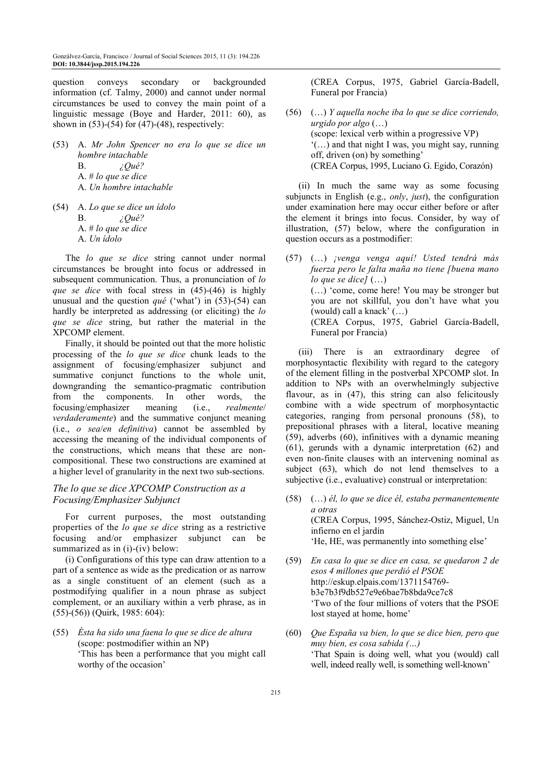question conveys secondary or backgrounded information (cf. Talmy, 2000) and cannot under normal circumstances be used to convey the main point of a linguistic message (Boye and Harder, 2011: 60), as shown in  $(53)-(54)$  for  $(47)-(48)$ , respectively:

(53) A. *Mr John Spencer no era lo que se dice un hombre intachable* B. *¿Qué?*  A. # *lo que se dice* A. *Un hombre intachable* (54) A. *Lo que se dice un ídolo*

> B. *¿Qué?*  A. # *lo que se dice* A. *Un ídolo*

The *lo que se dice* string cannot under normal circumstances be brought into focus or addressed in subsequent communication. Thus, a pronunciation of *lo que se dice* with focal stress in (45)-(46) is highly unusual and the question *qué* ('what') in (53)-(54) can hardly be interpreted as addressing (or eliciting) the *lo que se dice* string, but rather the material in the XPCOMP element.

Finally, it should be pointed out that the more holistic processing of the *lo que se dice* chunk leads to the assignment of focusing/emphasizer subjunct and summative conjunct functions to the whole unit, downgranding the semantico-pragmatic contribution from the components. In other words, the focusing/emphasizer meaning (i.e., *realmente*/ *verdaderamente*) and the summative conjunct meaning (i.e., *o sea*/*en definitiva*) cannot be assembled by accessing the meaning of the individual components of the constructions, which means that these are noncompositional. These two constructions are examined at a higher level of granularity in the next two sub-sections.

## *The lo que se dice XPCOMP Construction as a Focusing/Emphasizer Subjunct*

For current purposes, the most outstanding properties of the *lo que se dice* string as a restrictive focusing and/or emphasizer subjunct can be summarized as in (i)-(iv) below:

(i) Configurations of this type can draw attention to a part of a sentence as wide as the predication or as narrow as a single constituent of an element (such as a postmodifying qualifier in a noun phrase as subject complement, or an auxiliary within a verb phrase, as in (55)-(56)) (Quirk, 1985: 604):

(55) *Ésta ha sido una faena lo que se dice de altura* (scope: postmodifier within an NP) 'This has been a performance that you might call worthy of the occasion'

 (CREA Corpus, 1975, Gabriel García-Badell, Funeral por Francia)

(56) (…) *Y aquella noche iba lo que se dice corriendo, urgido por algo* (…) (scope: lexical verb within a progressive VP) '(…) and that night I was, you might say, running off, driven (on) by something' (CREA Corpus, 1995, Luciano G. Egido, Corazón)

(ii) In much the same way as some focusing subjuncts in English (e.g., *only*, *just*), the configuration under examination here may occur either before or after the element it brings into focus. Consider, by way of illustration, (57) below, where the configuration in question occurs as a postmodifier:

(57) (…) *¡venga venga aquí! Usted tendrá más fuerza pero le falta maña no tiene [buena mano lo que se dice]* (…) (…) 'come, come here! You may be stronger but you are not skillful, you don't have what you (would) call a knack' (…) (CREA Corpus, 1975, Gabriel García-Badell, Funeral por Francia)

(iii) There is an extraordinary degree of morphosyntactic flexibility with regard to the category of the element filling in the postverbal XPCOMP slot. In addition to NPs with an overwhelmingly subjective flavour, as in (47), this string can also felicitously combine with a wide spectrum of morphosyntactic categories, ranging from personal pronouns (58), to prepositional phrases with a literal, locative meaning (59), adverbs (60), infinitives with a dynamic meaning (61), gerunds with a dynamic interpretation (62) and even non-finite clauses with an intervening nominal as subject (63), which do not lend themselves to a subjective (i.e., evaluative) construal or interpretation:

- (58) (…) *él, lo que se dice él, estaba permanentemente a otras* (CREA Corpus, 1995, Sánchez-Ostiz, Miguel, Un infierno en el jardín 'He, HE, was permanently into something else'
- (59) *En casa lo que se dice en casa, se quedaron 2 de esos 4 millones que perdió el PSOE* http://eskup.elpais.com/1371154769 b3e7b3f9db527e9e6bae7b8bda9ce7c8 'Two of the four millions of voters that the PSOE lost stayed at home, home'
- (60) *Que España va bien, lo que se dice bien, pero que muy bien, es cosa sabida (…)* 'That Spain is doing well, what you (would) call well, indeed really well, is something well-known'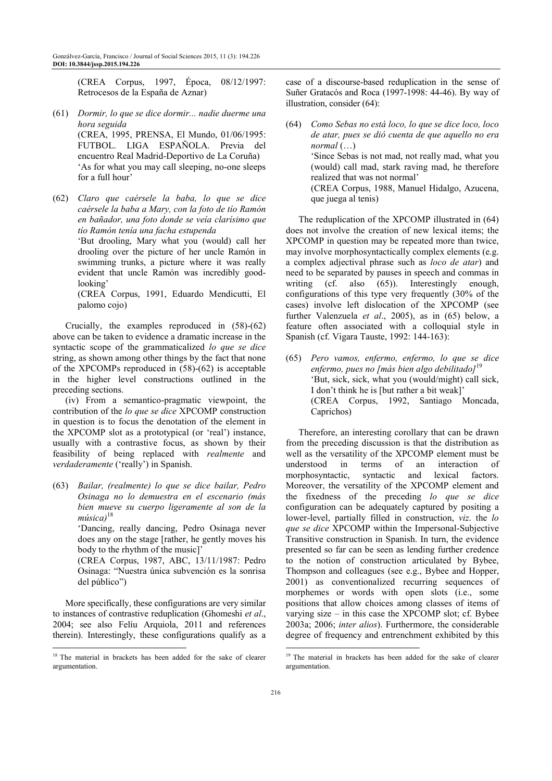(CREA Corpus, 1997, Época, 08/12/1997: Retrocesos de la España de Aznar)

- (61) *Dormir, lo que se dice dormir... nadie duerme una hora seguida* (CREA, 1995, PRENSA, El Mundo, 01/06/1995: FUTBOL. LIGA ESPAÑOLA. Previa del encuentro Real Madrid-Deportivo de La Coruña) 'As for what you may call sleeping, no-one sleeps for a full hour'
- (62) *Claro que caérsele la baba, lo que se dice caérsele la baba a Mary, con la foto de tío Ramón en bañador, una foto donde se veía clarísimo que tío Ramón tenía una facha estupenda* 'But drooling, Mary what you (would) call her drooling over the picture of her uncle Ramón in swimming trunks, a picture where it was really evident that uncle Ramón was incredibly goodlooking' (CREA Corpus, 1991, Eduardo Mendicutti, El

palomo cojo)

Crucially, the examples reproduced in (58)-(62) above can be taken to evidence a dramatic increase in the syntactic scope of the grammaticalized *lo que se dice* string, as shown among other things by the fact that none of the XPCOMPs reproduced in (58)-(62) is acceptable in the higher level constructions outlined in the preceding sections.

(iv) From a semantico-pragmatic viewpoint, the contribution of the *lo que se dice* XPCOMP construction in question is to focus the denotation of the element in the XPCOMP slot as a prototypical (or 'real') instance, usually with a contrastive focus, as shown by their feasibility of being replaced with *realmente* and *verdaderamente* ('really') in Spanish.

(63) *Bailar, (realmente) lo que se dice bailar, Pedro Osinaga no lo demuestra en el escenario (más bien mueve su cuerpo ligeramente al son de la música)*<sup>18</sup>

> 'Dancing, really dancing, Pedro Osinaga never does any on the stage [rather, he gently moves his body to the rhythm of the music]'

> (CREA Corpus, 1987, ABC, 13/11/1987: Pedro Osinaga: "Nuestra única subvención es la sonrisa del público")

More specifically, these configurations are very similar to instances of contrastive reduplication (Ghomeshi *et al*., 2004; see also Felíu Arquiola, 2011 and references therein). Interestingly, these configurations qualify as a

 $\overline{a}$ 

case of a discourse-based reduplication in the sense of Suñer Gratacós and Roca (1997-1998: 44-46). By way of illustration, consider (64):

(64) *Como Sebas no está loco, lo que se dice loco, loco de atar, pues se dió cuenta de que aquello no era normal* (…) 'Since Sebas is not mad, not really mad, what you (would) call mad, stark raving mad, he therefore realized that was not normal' (CREA Corpus, 1988, Manuel Hidalgo, Azucena, que juega al tenis)

The reduplication of the XPCOMP illustrated in (64) does not involve the creation of new lexical items; the XPCOMP in question may be repeated more than twice, may involve morphosyntactically complex elements (e.g. a complex adjectival phrase such as *loco de atar*) and need to be separated by pauses in speech and commas in writing (cf. also (65)). Interestingly enough, configurations of this type very frequently (30% of the cases) involve left dislocation of the XPCOMP (see further Valenzuela *et al*., 2005), as in (65) below, a feature often associated with a colloquial style in Spanish (cf. Vigara Tauste, 1992: 144-163):

(65) *Pero vamos, enfermo, enfermo, lo que se dice enfermo, pues no [más bien algo debilitado]*<sup>19</sup> 'But, sick, sick, what you (would/might) call sick, I don't think he is [but rather a bit weak]' (CREA Corpus, 1992, Santiago Moncada, Caprichos)

Therefore, an interesting corollary that can be drawn from the preceding discussion is that the distribution as well as the versatility of the XPCOMP element must be understood in terms of an interaction of morphosyntactic, syntactic and lexical factors. Moreover, the versatility of the XPCOMP element and the fixedness of the preceding *lo que se dice* configuration can be adequately captured by positing a lower-level, partially filled in construction, *viz*. the *lo que se dice* XPCOMP within the Impersonal-Subjective Transitive construction in Spanish. In turn, the evidence presented so far can be seen as lending further credence to the notion of construction articulated by Bybee, Thompson and colleagues (see e.g., Bybee and Hopper, 2001) as conventionalized recurring sequences of morphemes or words with open slots (i.e., some positions that allow choices among classes of items of varying size – in this case the XPCOMP slot; cf. Bybee 2003a; 2006; *inter alios*). Furthermore, the considerable degree of frequency and entrenchment exhibited by this

 $\overline{a}$ 

<sup>&</sup>lt;sup>18</sup> The material in brackets has been added for the sake of clearer argumentation.

<sup>&</sup>lt;sup>19</sup> The material in brackets has been added for the sake of clearer argumentation.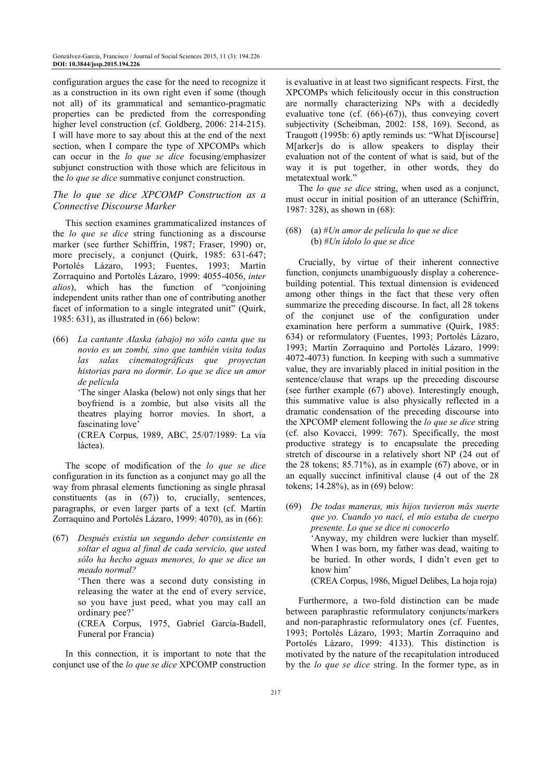configuration argues the case for the need to recognize it as a construction in its own right even if some (though not all) of its grammatical and semantico-pragmatic properties can be predicted from the corresponding higher level construction (cf. Goldberg, 2006: 214-215). I will have more to say about this at the end of the next section, when I compare the type of XPCOMPs which can occur in the *lo que se dice* focusing/emphasizer subjunct construction with those which are felicitous in the *lo que se dice* summative conjunct construction.

#### *The lo que se dice XPCOMP Construction as a Connective Discourse Marker*

This section examines grammaticalized instances of the *lo que se dice* string functioning as a discourse marker (see further Schiffrin, 1987; Fraser, 1990) or, more precisely, a conjunct (Quirk, 1985: 631-647; Portolés Lázaro, 1993; Fuentes, 1993; Martín Zorraquino and Portolés Lázaro, 1999: 4055-4056, *inter alios*), which has the function of "conjoining independent units rather than one of contributing another facet of information to a single integrated unit" (Quirk, 1985: 631), as illustrated in (66) below:

(66) *La cantante Alaska (abajo) no sólo canta que su novio es un zombi, sino que también visita todas las salas cinematográficas que proyectan historias para no dormir. Lo que se dice un amor de película*

> 'The singer Alaska (below) not only sings that her boyfriend is a zombie, but also visits all the theatres playing horror movies. In short, a fascinating love'

 (CREA Corpus, 1989, ABC, 25/07/1989: La vía láctea).

The scope of modification of the *lo que se dice* configuration in its function as a conjunct may go all the way from phrasal elements functioning as single phrasal constituents (as in (67)) to, crucially, sentences, paragraphs, or even larger parts of a text (cf. Martín Zorraquino and Portolés Lázaro, 1999: 4070), as in (66):

(67) *Después existía un segundo deber consistente en soltar el agua al final de cada servicio, que usted sólo ha hecho aguas menores, lo que se dice un meado normal?*

 'Then there was a second duty consisting in releasing the water at the end of every service, so you have just peed, what you may call an ordinary pee?'

 (CREA Corpus, 1975, Gabriel García-Badell, Funeral por Francia)

In this connection, it is important to note that the conjunct use of the *lo que se dice* XPCOMP construction is evaluative in at least two significant respects. First, the XPCOMPs which felicitously occur in this construction are normally characterizing NPs with a decidedly evaluative tone (cf.  $(66)-(67)$ ), thus conveying covert subjectivity (Scheibman, 2002: 158, 169). Second, as Traugott (1995b: 6) aptly reminds us: "What D[iscourse] M[arker]s do is allow speakers to display their evaluation not of the content of what is said, but of the way it is put together, in other words, they do metatextual work."

The *lo que se dice* string, when used as a conjunct, must occur in initial position of an utterance (Schiffrin, 1987: 328), as shown in (68):

#### (68) (a) #*Un amor de película lo que se dice* (b) #*Un ídolo lo que se dice*

Crucially, by virtue of their inherent connective function, conjuncts unambiguously display a coherencebuilding potential. This textual dimension is evidenced among other things in the fact that these very often summarize the preceding discourse. In fact, all 28 tokens of the conjunct use of the configuration under examination here perform a summative (Quirk, 1985: 634) or reformulatory (Fuentes, 1993; Portolés Lázaro, 1993; Martín Zorraquino and Portolés Lázaro, 1999: 4072-4073) function. In keeping with such a summative value, they are invariably placed in initial position in the sentence/clause that wraps up the preceding discourse (see further example (67) above). Interestingly enough, this summative value is also physically reflected in a dramatic condensation of the preceding discourse into the XPCOMP element following the *lo que se dice* string (cf. also Kovacci, 1999: 767). Specifically, the most productive strategy is to encapsulate the preceding stretch of discourse in a relatively short NP (24 out of the 28 tokens; 85.71%), as in example (67) above, or in an equally succinct infinitival clause (4 out of the 28 tokens; 14.28%), as in (69) below:

(69) *De todas maneras, mis hijos tuvieron más suerte que yo. Cuando yo nací, el mío estaba de cuerpo presente. Lo que se dice ni conocerlo* 'Anyway, my children were luckier than myself. When I was born, my father was dead, waiting to be buried. In other words, I didn't even get to know him'

(CREA Corpus, 1986, Miguel Delibes, La hoja roja)

Furthermore, a two-fold distinction can be made between paraphrastic reformulatory conjuncts/markers and non-paraphrastic reformulatory ones (cf. Fuentes, 1993; Portolés Lázaro, 1993; Martín Zorraquino and Portolés Lázaro, 1999: 4133). This distinction is motivated by the nature of the recapitulation introduced by the *lo que se dice* string. In the former type, as in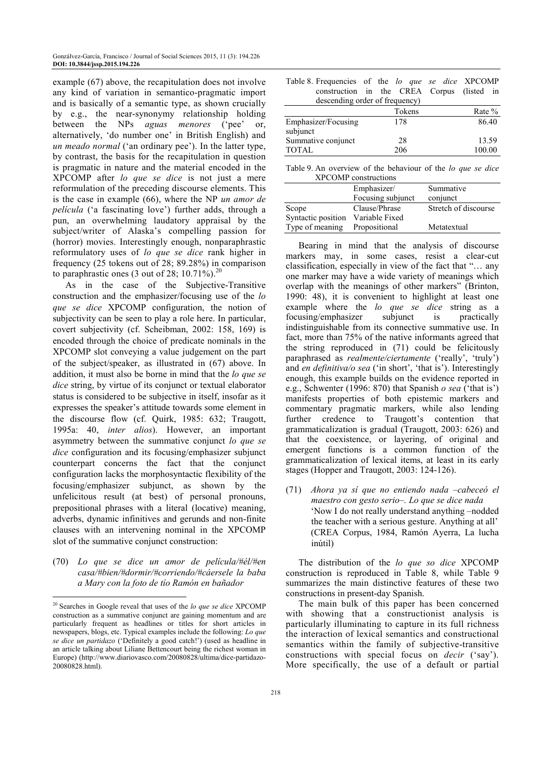example (67) above, the recapitulation does not involve any kind of variation in semantico-pragmatic import and is basically of a semantic type, as shown crucially by e.g., the near-synonymy relationship holding between the NPs *aguas menores* ('pee' or, alternatively, 'do number one' in British English) and *un meado normal* ('an ordinary pee'). In the latter type, by contrast, the basis for the recapitulation in question is pragmatic in nature and the material encoded in the XPCOMP after *lo que se dice* is not just a mere reformulation of the preceding discourse elements. This is the case in example (66), where the NP *un amor de película* ('a fascinating love') further adds, through a pun, an overwhelming laudatory appraisal by the subject/writer of Alaska's compelling passion for (horror) movies. Interestingly enough, nonparaphrastic reformulatory uses of *lo que se dice* rank higher in frequency (25 tokens out of 28; 89.28%) in comparison to paraphrastic ones (3 out of 28; 10.71%).<sup>20</sup>

As in the case of the Subjective-Transitive construction and the emphasizer/focusing use of the *lo que se dice* XPCOMP configuration, the notion of subjectivity can be seen to play a role here. In particular, covert subjectivity (cf. Scheibman, 2002: 158, 169) is encoded through the choice of predicate nominals in the XPCOMP slot conveying a value judgement on the part of the subject/speaker, as illustrated in (67) above. In addition, it must also be borne in mind that the *lo que se dice* string, by virtue of its conjunct or textual elaborator status is considered to be subjective in itself, insofar as it expresses the speaker's attitude towards some element in the discourse flow (cf. Quirk, 1985: 632; Traugott, 1995a: 40, *inter alios*). However, an important asymmetry between the summative conjunct *lo que se dice* configuration and its focusing/emphasizer subjunct counterpart concerns the fact that the conjunct configuration lacks the morphosyntactic flexibility of the focusing/emphasizer subjunct, as shown by the unfelicitous result (at best) of personal pronouns, prepositional phrases with a literal (locative) meaning, adverbs, dynamic infinitives and gerunds and non-finite clauses with an intervening nominal in the XPCOMP slot of the summative conjunct construction:

(70) *Lo que se dice un amor de película/#él/#en casa/#bien/#dormir/#corriendo/#cáersele la baba a Mary con la foto de tío Ramón en bañador* 

 $\overline{a}$ 

| Table 8. Frequencies of the <i>lo que se dice</i> XPCOMP |  |  |  |  |
|----------------------------------------------------------|--|--|--|--|
| construction in the CREA Corpus (listed in               |  |  |  |  |
| descending order of frequency)                           |  |  |  |  |
|                                                          |  |  |  |  |

|                     | Tokens | Rate % |
|---------------------|--------|--------|
| Emphasizer/Focusing | 178    | 86.40  |
| subjunct            |        |        |
| Summative conjunct  | 28     | 13.59  |
| TOTAL               | 206    | 100.00 |

Table 9. An overview of the behaviour of the *lo que se dice* XPCOMP constructions

|                    | Emphasizer/<br>Focusing subjunct | Summative<br>conjunct |
|--------------------|----------------------------------|-----------------------|
| Scope              | Clause/Phrase                    | Stretch of discourse  |
| Syntactic position | Variable Fixed                   |                       |
| Type of meaning    | Propositional                    | Metatextual           |

Bearing in mind that the analysis of discourse markers may, in some cases, resist a clear-cut classification, especially in view of the fact that "… any one marker may have a wide variety of meanings which overlap with the meanings of other markers" (Brinton, 1990: 48), it is convenient to highlight at least one example where the *lo que se dice* string as a focusing/emphasizer subjunct is practically indistinguishable from its connective summative use. In fact, more than 75% of the native informants agreed that the string reproduced in (71) could be felicitously paraphrased as *realmente/ciertamente* ('really', 'truly') and *en definitiva/o sea* ('in short', 'that is'). Interestingly enough, this example builds on the evidence reported in e.g., Schwenter (1996: 870) that Spanish *o sea* ('that is') manifests properties of both epistemic markers and commentary pragmatic markers, while also lending further credence to Traugott's contention that grammaticalization is gradual (Traugott, 2003: 626) and that the coexistence, or layering, of original and emergent functions is a common function of the grammaticalization of lexical items, at least in its early stages (Hopper and Traugott, 2003: 124-126).

(71) *Ahora ya sí que no entiendo nada –cabeceó el maestro con gesto serio–. Lo que se dice nada* 'Now I do not really understand anything –nodded the teacher with a serious gesture. Anything at all' (CREA Corpus, 1984, Ramón Ayerra, La lucha inútil)

The distribution of the *lo que so dice* XPCOMP construction is reproduced in Table 8, while Table 9 summarizes the main distinctive features of these two constructions in present-day Spanish.

The main bulk of this paper has been concerned with showing that a constructionist analysis is particularly illuminating to capture in its full richness the interaction of lexical semantics and constructional semantics within the family of subjective-transitive constructions with special focus on *decir* ('say'). More specifically, the use of a default or partial

<sup>20</sup> Searches in Google reveal that uses of the *lo que se dice* XPCOMP construction as a summative conjunct are gaining momentum and are particularly frequent as headlines or titles for short articles in newspapers, blogs, etc. Typical examples include the following: *Lo que se dice un partidazo* ('Definitely a good catch!') (used as headline in an article talking about Liliane Bettencourt being the richest woman in Europe) (http://www.diariovasco.com/20080828/ultima/dice-partidazo-20080828.html).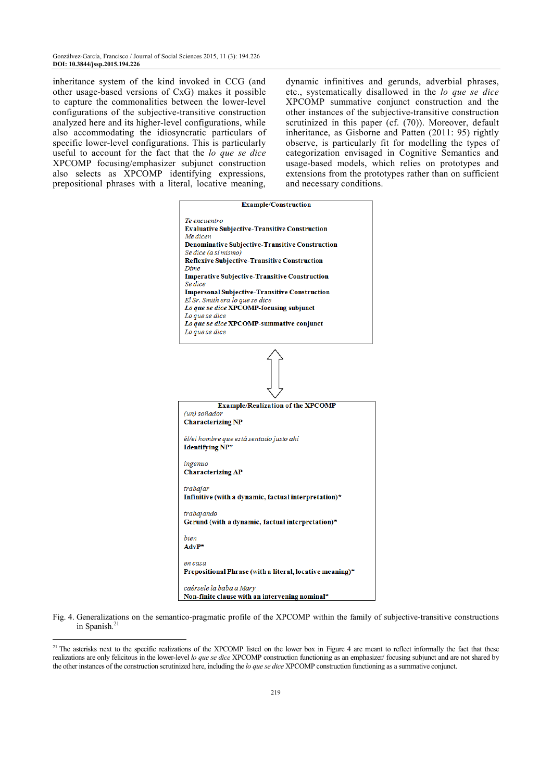inheritance system of the kind invoked in CCG (and other usage-based versions of CxG) makes it possible to capture the commonalities between the lower-level configurations of the subjective-transitive construction analyzed here and its higher-level configurations, while also accommodating the idiosyncratic particulars of specific lower-level configurations. This is particularly useful to account for the fact that the *lo que se dice* XPCOMP focusing/emphasizer subjunct construction also selects as XPCOMP identifying expressions, prepositional phrases with a literal, locative meaning,

dynamic infinitives and gerunds, adverbial phrases, etc., systematically disallowed in the *lo que se dice* XPCOMP summative conjunct construction and the other instances of the subjective-transitive construction scrutinized in this paper (cf. (70)). Moreover, default inheritance, as Gisborne and Patten (2011: 95) rightly observe, is particularly fit for modelling the types of categorization envisaged in Cognitive Semantics and usage-based models, which relies on prototypes and extensions from the prototypes rather than on sufficient and necessary conditions.



Prepositional Phrase (with a literal, locative meaning)\*

caérsele la baba a Mary Non-finite clause with an intervening nominal\*

 $\overline{a}$ 

Fig. 4. Generalizations on the semantico-pragmatic profile of the XPCOMP within the family of subjective-transitive constructions in Spanish.<sup>21</sup>

<sup>&</sup>lt;sup>21</sup> The asterisks next to the specific realizations of the XPCOMP listed on the lower box in Figure 4 are meant to reflect informally the fact that these realizations are only felicitous in the lower-level *lo que se dice* XPCOMP construction functioning as an emphasizer/ focusing subjunct and are not shared by the other instances of the construction scrutinized here, including the *lo que se dice* XPCOMP construction functioning as a summative conjunct.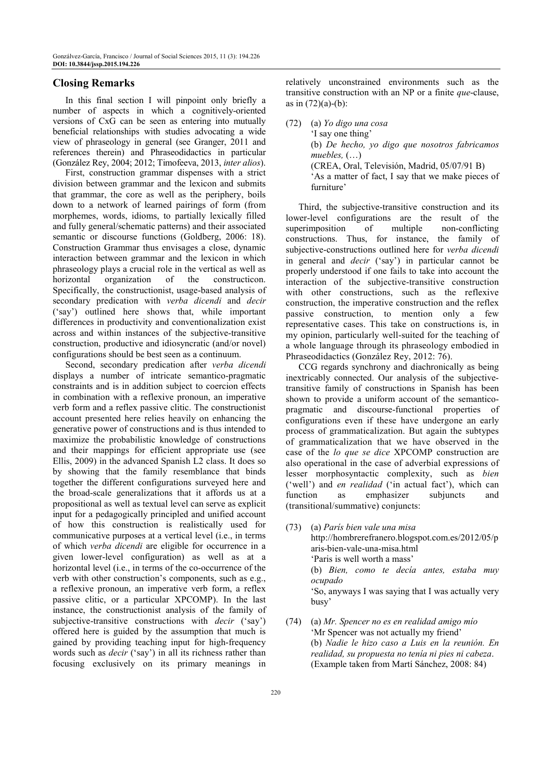## **Closing Remarks**

In this final section I will pinpoint only briefly a number of aspects in which a cognitively-oriented versions of CxG can be seen as entering into mutually beneficial relationships with studies advocating a wide view of phraseology in general (see Granger, 2011 and references therein) and Phraseodidactics in particular (González Rey, 2004; 2012; Timofeeva, 2013, *inter alios*).

First, construction grammar dispenses with a strict division between grammar and the lexicon and submits that grammar, the core as well as the periphery, boils down to a network of learned pairings of form (from morphemes, words, idioms, to partially lexically filled and fully general/schematic patterns) and their associated semantic or discourse functions (Goldberg, 2006: 18). Construction Grammar thus envisages a close, dynamic interaction between grammar and the lexicon in which phraseology plays a crucial role in the vertical as well as horizontal organization of the constructicon. Specifically, the constructionist, usage-based analysis of secondary predication with *verba dicendi* and *decir* ('say') outlined here shows that, while important differences in productivity and conventionalization exist across and within instances of the subjective-transitive construction, productive and idiosyncratic (and/or novel) configurations should be best seen as a continuum.

Second, secondary predication after *verba dicendi* displays a number of intricate semantico-pragmatic constraints and is in addition subject to coercion effects in combination with a reflexive pronoun, an imperative verb form and a reflex passive clitic. The constructionist account presented here relies heavily on enhancing the generative power of constructions and is thus intended to maximize the probabilistic knowledge of constructions and their mappings for efficient appropriate use (see Ellis, 2009) in the advanced Spanish L2 class. It does so by showing that the family resemblance that binds together the different configurations surveyed here and the broad-scale generalizations that it affords us at a propositional as well as textual level can serve as explicit input for a pedagogically principled and unified account of how this construction is realistically used for communicative purposes at a vertical level (i.e., in terms of which *verba dicendi* are eligible for occurrence in a given lower-level configuration) as well as at a horizontal level (i.e., in terms of the co-occurrence of the verb with other construction's components, such as e.g., a reflexive pronoun, an imperative verb form, a reflex passive clitic, or a particular XPCOMP). In the last instance, the constructionist analysis of the family of subjective-transitive constructions with *decir* ('say') offered here is guided by the assumption that much is gained by providing teaching input for high-frequency words such as *decir* ('say') in all its richness rather than focusing exclusively on its primary meanings in

relatively unconstrained environments such as the transitive construction with an NP or a finite *que*-clause, as in  $(72)(a)-(b)$ :

(72) (a) *Yo digo una cosa*

 'I say one thing' (b) *De hecho, yo digo que nosotros fabricamos muebles,* (…) (CREA, Oral, Televisión, Madrid, 05/07/91 B) 'As a matter of fact, I say that we make pieces of furniture'

Third, the subjective-transitive construction and its lower-level configurations are the result of the superimposition of multiple non-conflicting constructions. Thus, for instance, the family of subjective-constructions outlined here for *verba dicendi* in general and *decir* ('say') in particular cannot be properly understood if one fails to take into account the interaction of the subjective-transitive construction with other constructions, such as the reflexive construction, the imperative construction and the reflex passive construction, to mention only a few representative cases. This take on constructions is, in my opinion, particularly well-suited for the teaching of a whole language through its phraseology embodied in Phraseodidactics (González Rey, 2012: 76).

CCG regards synchrony and diachronically as being inextricably connected. Our analysis of the subjectivetransitive family of constructions in Spanish has been shown to provide a uniform account of the semanticopragmatic and discourse-functional properties of configurations even if these have undergone an early process of grammaticalization. But again the subtypes of grammaticalization that we have observed in the case of the *lo que se dice* XPCOMP construction are also operational in the case of adverbial expressions of lesser morphosyntactic complexity, such as *bien* ('well') and *en realidad* ('in actual fact'), which can function as emphasizer subjuncts and (transitional/summative) conjuncts:

- (73) (a) *París bien vale una misa* http://hombrerefranero.blogspot.com.es/2012/05/p aris-bien-vale-una-misa.html 'Paris is well worth a mass' (b) *Bien, como te decía antes, estaba muy ocupado* 'So, anyways I was saying that I was actually very busy'
- (74) (a) *Mr. Spencer no es en realidad amigo mío* 'Mr Spencer was not actually my friend' (b) *Nadie le hizo caso a Luis en la reunión. En realidad, su propuesta no tenía ni pies ni cabeza*. (Example taken from Martí Sánchez, 2008: 84)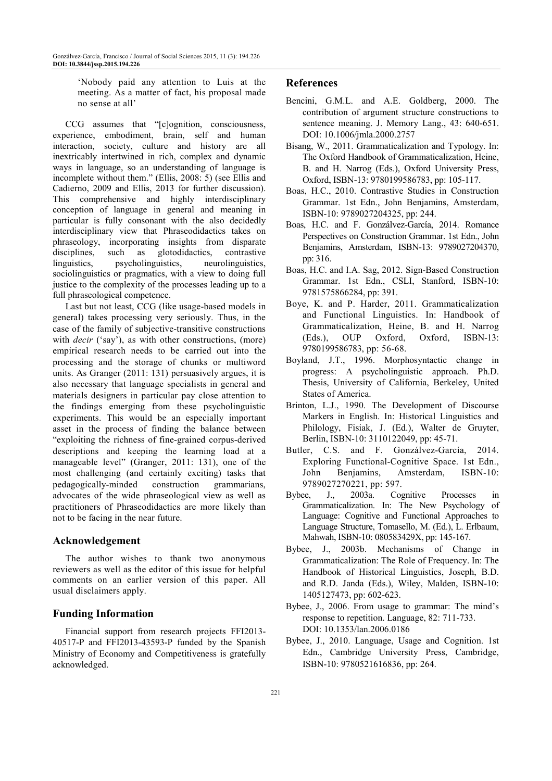'Nobody paid any attention to Luis at the meeting. As a matter of fact, his proposal made no sense at all'

CCG assumes that "[c]ognition, consciousness, experience, embodiment, brain, self and human interaction, society, culture and history are all inextricably intertwined in rich, complex and dynamic ways in language, so an understanding of language is incomplete without them." (Ellis, 2008: 5) (see Ellis and Cadierno, 2009 and Ellis, 2013 for further discussion). This comprehensive and highly interdisciplinary conception of language in general and meaning in particular is fully consonant with the also decidedly interdisciplinary view that Phraseodidactics takes on phraseology, incorporating insights from disparate disciplines, such as glotodidactics, contrastive linguistics, psycholinguistics, neurolinguistics, sociolinguistics or pragmatics, with a view to doing full justice to the complexity of the processes leading up to a full phraseological competence.

Last but not least, CCG (like usage-based models in general) takes processing very seriously. Thus, in the case of the family of subjective-transitive constructions with *decir* ('say'), as with other constructions, (more) empirical research needs to be carried out into the processing and the storage of chunks or multiword units. As Granger (2011: 131) persuasively argues, it is also necessary that language specialists in general and materials designers in particular pay close attention to the findings emerging from these psycholinguistic experiments. This would be an especially important asset in the process of finding the balance between "exploiting the richness of fine-grained corpus-derived descriptions and keeping the learning load at a manageable level" (Granger, 2011: 131), one of the most challenging (and certainly exciting) tasks that pedagogically-minded construction grammarians, advocates of the wide phraseological view as well as practitioners of Phraseodidactics are more likely than not to be facing in the near future.

# **Acknowledgement**

The author wishes to thank two anonymous reviewers as well as the editor of this issue for helpful comments on an earlier version of this paper. All usual disclaimers apply.

#### **Funding Information**

Financial support from research projects FFI2013- 40517-P and FFI2013-43593-P funded by the Spanish Ministry of Economy and Competitiveness is gratefully acknowledged.

## **References**

- Bencini, G.M.L. and A.E. Goldberg, 2000. The contribution of argument structure constructions to sentence meaning. J. Memory Lang., 43: 640-651. DOI: 10.1006/jmla.2000.2757
- Bisang, W., 2011. Grammaticalization and Typology. In: The Oxford Handbook of Grammaticalization, Heine, B. and H. Narrog (Eds.), Oxford University Press, Oxford, ISBN-13: 9780199586783, pp: 105-117.
- Boas, H.C., 2010. Contrastive Studies in Construction Grammar. 1st Edn., John Benjamins, Amsterdam, ISBN-10: 9789027204325, pp: 244.
- Boas, H.C. and F. Gonzálvez-García, 2014. Romance Perspectives on Construction Grammar. 1st Edn., John Benjamins, Amsterdam, ISBN-13: 9789027204370, pp: 316.
- Boas, H.C. and I.A. Sag, 2012. Sign-Based Construction Grammar. 1st Edn., CSLI, Stanford, ISBN-10: 9781575866284, pp: 391.
- Boye, K. and P. Harder, 2011. Grammaticalization and Functional Linguistics. In: Handbook of Grammaticalization, Heine, B. and H. Narrog (Eds.), OUP Oxford, Oxford, ISBN-13: 9780199586783, pp: 56-68.
- Boyland, J.T., 1996. Morphosyntactic change in progress: A psycholinguistic approach. Ph.D. Thesis, University of California, Berkeley, United States of America.
- Brinton, L.J., 1990. The Development of Discourse Markers in English. In: Historical Linguistics and Philology, Fisiak, J. (Ed.), Walter de Gruyter, Berlin, ISBN-10: 3110122049, pp: 45-71.
- Butler, C.S. and F. Gonzálvez-García, 2014. Exploring Functional-Cognitive Space. 1st Edn., John Benjamins, Amsterdam, ISBN-10: 9789027270221, pp: 597.
- Bybee, J., 2003a. Cognitive Processes in Grammaticalization. In: The New Psychology of Language: Cognitive and Functional Approaches to Language Structure, Tomasello, M. (Ed.), L. Erlbaum, Mahwah, ISBN-10: 080583429X, pp: 145-167.
- Bybee, J., 2003b. Mechanisms of Change in Grammaticalization: The Role of Frequency. In: The Handbook of Historical Linguistics, Joseph, B.D. and R.D. Janda (Eds.), Wiley, Malden, ISBN-10: 1405127473, pp: 602-623.
- Bybee, J., 2006. From usage to grammar: The mind's response to repetition. Language, 82: 711-733. DOI: 10.1353/lan.2006.0186
- Bybee, J., 2010. Language, Usage and Cognition. 1st Edn., Cambridge University Press, Cambridge, ISBN-10: 9780521616836, pp: 264.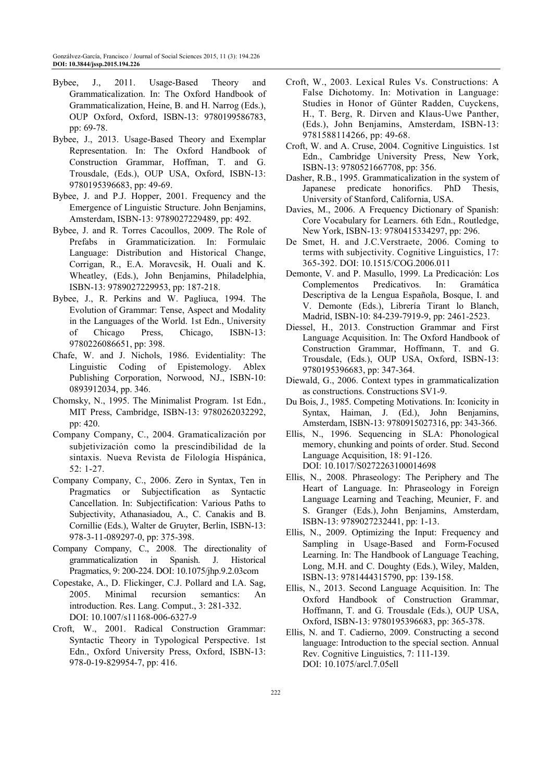- Bybee, J., 2011. Usage-Based Theory and Grammaticalization. In: The Oxford Handbook of Grammaticalization, Heine, B. and H. Narrog (Eds.), OUP Oxford, Oxford, ISBN-13: 9780199586783, pp: 69-78.
- Bybee, J., 2013. Usage-Based Theory and Exemplar Representation. In: The Oxford Handbook of Construction Grammar, Hoffman, T. and G. Trousdale, (Eds.), OUP USA, Oxford, ISBN-13: 9780195396683, pp: 49-69.
- Bybee, J. and P.J. Hopper, 2001. Frequency and the Emergence of Linguistic Structure. John Benjamins, Amsterdam, ISBN-13: 9789027229489, pp: 492.
- Bybee, J. and R. Torres Cacoullos, 2009. The Role of Prefabs in Grammaticization. In: Formulaic Language: Distribution and Historical Change, Corrigan, R., E.A. Moravcsik, H. Ouali and K. Wheatley, (Eds.), John Benjamins, Philadelphia, ISBN-13: 9789027229953, pp: 187-218.
- Bybee, J., R. Perkins and W. Pagliuca, 1994. The Evolution of Grammar: Tense, Aspect and Modality in the Languages of the World. 1st Edn., University of Chicago Press, Chicago, ISBN-13: 9780226086651, pp: 398.
- Chafe, W. and J. Nichols, 1986. Evidentiality: The Linguistic Coding of Epistemology. Ablex Publishing Corporation, Norwood, NJ., ISBN-10: 0893912034, pp. 346.
- Chomsky, N., 1995. The Minimalist Program. 1st Edn., MIT Press, Cambridge, ISBN-13: 9780262032292, pp: 420.
- Company Company, C., 2004. Gramaticalización por subjetivización como la prescindibilidad de la sintaxis. Nueva Revista de Filología Hispánica, 52: 1-27.
- Company Company, C., 2006. Zero in Syntax, Ten in Pragmatics or Subjectification as Syntactic Cancellation. In: Subjectification: Various Paths to Subjectivity, Athanasiadou, A., C. Canakis and B. Cornillie (Eds.), Walter de Gruyter, Berlin, ISBN-13: 978-3-11-089297-0, pp: 375-398.
- Company Company, C., 2008. The directionality of grammaticalization in Spanish. J. Historical Pragmatics, 9: 200-224. DOI: 10.1075/jhp.9.2.03com
- Copestake, A., D. Flickinger, C.J. Pollard and I.A. Sag, 2005. Minimal recursion semantics: An introduction. Res. Lang. Comput., 3: 281-332. DOI: 10.1007/s11168-006-6327-9
- Croft, W., 2001. Radical Construction Grammar: Syntactic Theory in Typological Perspective. 1st Edn., Oxford University Press, Oxford, ISBN-13: 978-0-19-829954-7, pp: 416.
- Croft, W., 2003. Lexical Rules Vs. Constructions: A False Dichotomy. In: Motivation in Language: Studies in Honor of Günter Radden, Cuyckens, H., T. Berg, R. Dirven and Klaus-Uwe Panther, (Eds.), John Benjamins, Amsterdam, ISBN-13: 9781588114266, pp: 49-68.
- Croft, W. and A. Cruse, 2004. Cognitive Linguistics. 1st Edn., Cambridge University Press, New York, ISBN-13: 9780521667708, pp: 356.
- Dasher, R.B., 1995. Grammaticalization in the system of Japanese predicate honorifics. PhD Thesis, University of Stanford, California, USA.
- Davies, M., 2006. A Frequency Dictionary of Spanish: Core Vocabulary for Learners. 6th Edn., Routledge, New York, ISBN-13: 9780415334297, pp: 296.
- De Smet, H. and J.C.Verstraete, 2006. Coming to terms with subjectivity. Cognitive Linguistics, 17: 365-392. DOI: 10.1515/COG.2006.011
- Demonte, V. and P. Masullo, 1999. La Predicación: Los Complementos Predicativos. In: Gramática Descriptiva de la Lengua Española, Bosque, I. and V. Demonte (Eds.), Librería Tirant lo Blanch, Madrid, ISBN-10: 84-239-7919-9, pp: 2461-2523.
- Diessel, H., 2013. Construction Grammar and First Language Acquisition. In: The Oxford Handbook of Construction Grammar, Hoffmann, T. and G. Trousdale, (Eds.), OUP USA, Oxford, ISBN-13: 9780195396683, pp: 347-364.
- Diewald, G., 2006. Context types in grammaticalization as constructions. Constructions SV1-9.
- Du Bois, J., 1985. Competing Motivations. In: Iconicity in Syntax, Haiman, J. (Ed.), John Benjamins, Amsterdam, ISBN-13: 9780915027316, pp: 343-366.
- Ellis, N., 1996. Sequencing in SLA: Phonological memory, chunking and points of order. Stud. Second Language Acquisition, 18: 91-126. DOI: 10.1017/S0272263100014698
- Ellis, N., 2008. Phraseology: The Periphery and The Heart of Language. In: Phraseology in Foreign Language Learning and Teaching, Meunier, F. and S. Granger (Eds.), John Benjamins, Amsterdam, ISBN-13: 9789027232441, pp: 1-13.
- Ellis, N., 2009. Optimizing the Input: Frequency and Sampling in Usage-Based and Form-Focused Learning. In: The Handbook of Language Teaching, Long, M.H. and C. Doughty (Eds.), Wiley, Malden, ISBN-13: 9781444315790, pp: 139-158.
- Ellis, N., 2013. Second Language Acquisition. In: The Oxford Handbook of Construction Grammar, Hoffmann, T. and G. Trousdale (Eds.), OUP USA, Oxford, ISBN-13: 9780195396683, pp: 365-378.
- Ellis, N. and T. Cadierno, 2009. Constructing a second language: Introduction to the special section. Annual Rev. Cognitive Linguistics, 7: 111-139. DOI: 10.1075/arcl.7.05ell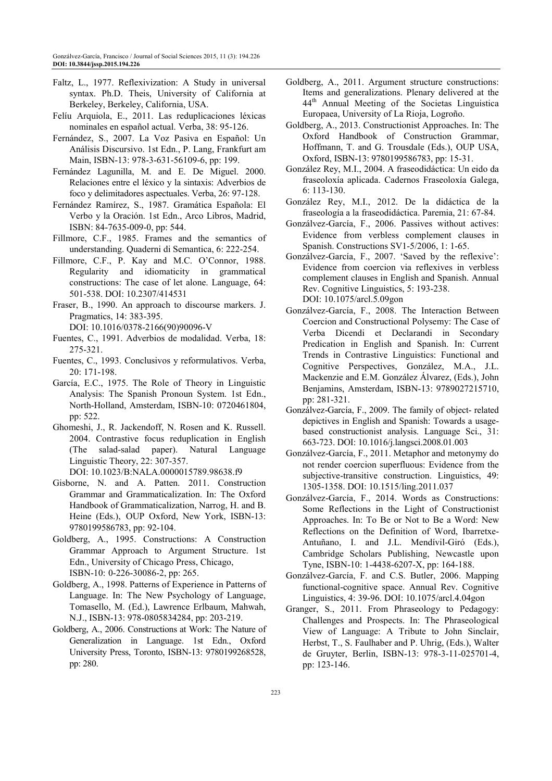- Faltz, L., 1977. Reflexivization: A Study in universal syntax. Ph.D. Theis, University of California at Berkeley, Berkeley, California, USA.
- Felíu Arquiola, E., 2011. Las reduplicaciones léxicas nominales en español actual. Verba, 38: 95-126.
- Fernández, S., 2007. La Voz Pasiva en Español: Un Análisis Discursivo. 1st Edn., P. Lang, Frankfurt am Main, ISBN-13: 978-3-631-56109-6, pp: 199.
- Fernández Lagunilla, M. and E. De Miguel. 2000. Relaciones entre el léxico y la sintaxis: Adverbios de foco y delimitadores aspectuales. Verba, 26: 97-128.
- Fernández Ramírez, S., 1987. Gramática Española: El Verbo y la Oración. 1st Edn., Arco Libros, Madrid, ISBN: 84-7635-009-0, pp: 544.
- Fillmore, C.F., 1985. Frames and the semantics of understanding. Quaderni di Semantica, 6: 222-254.
- Fillmore, C.F., P. Kay and M.C. O'Connor, 1988. Regularity and idiomaticity in grammatical constructions: The case of let alone. Language, 64: 501-538. DOI: 10.2307/414531
- Fraser, B., 1990. An approach to discourse markers. J. Pragmatics, 14: 383-395.

DOI: 10.1016/0378-2166(90)90096-V

- Fuentes, C., 1991. Adverbios de modalidad. Verba, 18: 275-321.
- Fuentes, C., 1993. Conclusivos y reformulativos. Verba, 20: 171-198.
- García, E.C., 1975. The Role of Theory in Linguistic Analysis: The Spanish Pronoun System. 1st Edn., North-Holland, Amsterdam, ISBN-10: 0720461804, pp: 522.
- Ghomeshi, J., R. Jackendoff, N. Rosen and K. Russell. 2004. Contrastive focus reduplication in English (The salad-salad paper). Natural Language Linguistic Theory, 22: 307-357. DOI: 10.1023/B:NALA.0000015789.98638.f9
- Gisborne, N. and A. Patten. 2011. Construction Grammar and Grammaticalization. In: The Oxford Handbook of Grammaticalization, Narrog, H. and B. Heine (Eds.), OUP Oxford, New York, ISBN-13: 9780199586783, pp: 92-104.
- Goldberg, A., 1995. Constructions: A Construction Grammar Approach to Argument Structure. 1st Edn., University of Chicago Press, Chicago, ISBN-10: 0-226-30086-2, pp: 265.
- Goldberg, A., 1998. Patterns of Experience in Patterns of Language. In: The New Psychology of Language, Tomasello, M. (Ed.), Lawrence Erlbaum, Mahwah, N.J., ISBN-13: 978-0805834284, pp: 203-219.
- Goldberg, A., 2006. Constructions at Work: The Nature of Generalization in Language. 1st Edn., Oxford University Press, Toronto, ISBN-13: 9780199268528, pp: 280.
- Goldberg, A., 2011. Argument structure constructions: Items and generalizations. Plenary delivered at the 44th Annual Meeting of the Societas Linguistica Europaea, University of La Rioja, Logroño.
- Goldberg, A., 2013. Constructionist Approaches. In: The Oxford Handbook of Construction Grammar, Hoffmann, T. and G. Trousdale (Eds.), OUP USA, Oxford, ISBN-13: 9780199586783, pp: 15-31.
- González Rey, M.I., 2004. A fraseodidáctica: Un eido da fraseoloxía aplicada. Cadernos Fraseoloxía Galega, 6: 113-130.
- González Rey, M.I., 2012. De la didáctica de la fraseología a la fraseodidáctica. Paremia, 21: 67-84.
- Gonzálvez-García, F., 2006. Passives without actives: Evidence from verbless complement clauses in Spanish. Constructions SV1-5/2006, 1: 1-65.
- Gonzálvez-García, F., 2007. 'Saved by the reflexive': Evidence from coercion via reflexives in verbless complement clauses in English and Spanish. Annual Rev. Cognitive Linguistics, 5: 193-238. DOI: 10.1075/arcl.5.09gon
- Gonzálvez-García, F., 2008. The Interaction Between Coercion and Constructional Polysemy: The Case of Verba Dicendi et Declarandi in Secondary Predication in English and Spanish. In: Current Trends in Contrastive Linguistics: Functional and Cognitive Perspectives, González, M.A., J.L. Mackenzie and E.M. González Álvarez, (Eds.), John Benjamins, Amsterdam, ISBN-13: 9789027215710, pp: 281-321.
- Gonzálvez-García, F., 2009. The family of object- related depictives in English and Spanish: Towards a usagebased constructionist analysis. Language Sci., 31: 663-723. DOI: 10.1016/j.langsci.2008.01.003
- Gonzálvez-García, F., 2011. Metaphor and metonymy do not render coercion superfluous: Evidence from the subjective-transitive construction. Linguistics, 49: 1305-1358. DOI: 10.1515/ling.2011.037
- Gonzálvez-García, F., 2014. Words as Constructions: Some Reflections in the Light of Constructionist Approaches. In: To Be or Not to Be a Word: New Reflections on the Definition of Word, Ibarretxe-Antuñano, I. and J.L. Mendívil-Giró (Eds.), Cambridge Scholars Publishing, Newcastle upon Tyne, ISBN-10: 1-4438-6207-X, pp: 164-188.
- Gonzálvez-García, F. and C.S. Butler, 2006. Mapping functional-cognitive space. Annual Rev. Cognitive Linguistics, 4: 39-96. DOI: 10.1075/arcl.4.04gon
- Granger, S., 2011. From Phraseology to Pedagogy: Challenges and Prospects. In: The Phraseological View of Language: A Tribute to John Sinclair, Herbst, T., S. Faulhaber and P. Uhrig, (Eds.), Walter de Gruyter, Berlin, ISBN-13: 978-3-11-025701-4, pp: 123-146.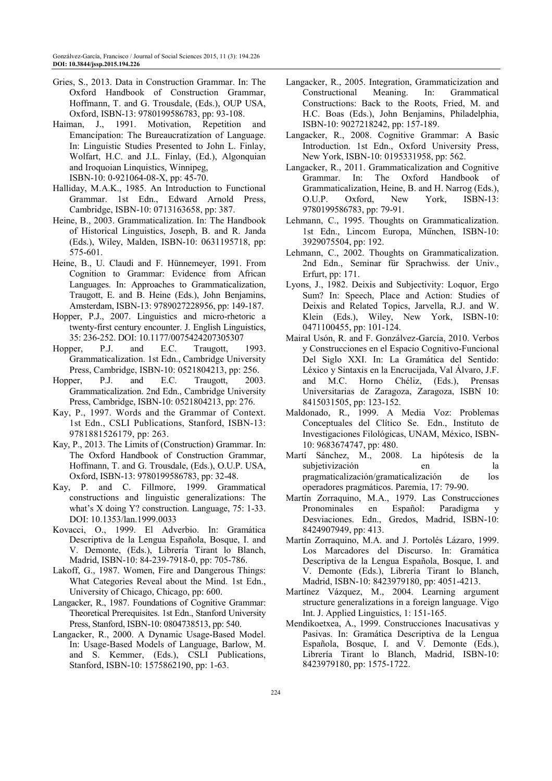- Gries, S., 2013. Data in Construction Grammar. In: The Oxford Handbook of Construction Grammar, Hoffmann, T. and G. Trousdale, (Eds.), OUP USA, Oxford, ISBN-13: 9780199586783, pp: 93-108.
- Haiman, J., 1991. Motivation, Repetition and Emancipation: The Bureaucratization of Language. In: Linguistic Studies Presented to John L. Finlay, Wolfart, H.C. and J.L. Finlay, (Ed.), Algonquian and Iroquoian Linquistics, Winnipeg, ISBN-10: 0-921064-08-X, pp: 45-70.

Halliday, M.A.K., 1985. An Introduction to Functional Grammar. 1st Edn., Edward Arnold Press, Cambridge, ISBN-10: 0713163658, pp: 387.

- Heine, B., 2003. Grammaticalization. In: The Handbook of Historical Linguistics, Joseph, B. and R. Janda (Eds.), Wiley, Malden, ISBN-10: 0631195718, pp: 575-601.
- Heine, B., U. Claudi and F. Hünnemeyer, 1991. From Cognition to Grammar: Evidence from African Languages. In: Approaches to Grammaticalization, Traugott, E. and B. Heine (Eds.), John Benjamins, Amsterdam, ISBN-13: 9789027228956, pp: 149-187.
- Hopper, P.J., 2007. Linguistics and micro-rhetoric a twenty-first century encounter. J. English Linguistics, 35: 236-252. DOI: 10.1177/0075424207305307
- Hopper, P.J. and E.C. Traugott, 1993. Grammaticalization. 1st Edn., Cambridge University Press, Cambridge, ISBN-10: 0521804213, pp: 256.
- Hopper, P.J. and E.C. Traugott, 2003. Grammaticalization. 2nd Edn., Cambridge University Press, Cambridge, ISBN-10: 0521804213, pp: 276.
- Kay, P., 1997. Words and the Grammar of Context. 1st Edn., CSLI Publications, Stanford, ISBN-13: 9781881526179, pp: 263.
- Kay, P., 2013. The Limits of (Construction) Grammar. In: The Oxford Handbook of Construction Grammar, Hoffmann, T. and G. Trousdale, (Eds.), O.U.P. USA, Oxford, ISBN-13: 9780199586783, pp: 32-48.
- Kay, P. and C. Fillmore, 1999. Grammatical constructions and linguistic generalizations: The what's X doing Y? construction. Language, 75: 1-33. DOI: 10.1353/lan.1999.0033
- Kovacci, O., 1999. El Adverbio. In: Gramática Descriptiva de la Lengua Española, Bosque, I. and V. Demonte, (Eds.), Librería Tirant lo Blanch, Madrid, ISBN-10: 84-239-7918-0, pp: 705-786.
- Lakoff, G., 1987. Women, Fire and Dangerous Things: What Categories Reveal about the Mind. 1st Edn., University of Chicago, Chicago, pp: 600.
- Langacker, R., 1987. Foundations of Cognitive Grammar: Theoretical Prerequisites. 1st Edn., Stanford University Press, Stanford, ISBN-10: 0804738513, pp: 540.
- Langacker, R., 2000. A Dynamic Usage-Based Model. In: Usage-Based Models of Language, Barlow, M. and S. Kemmer, (Eds.), CSLI Publications, Stanford, ISBN-10: 1575862190, pp: 1-63.
- Langacker, R., 2005. Integration, Grammaticization and Constructional Meaning. In: Grammatical Constructions: Back to the Roots, Fried, M. and H.C. Boas (Eds.), John Benjamins, Philadelphia, ISBN-10: 9027218242, pp: 157-189.
- Langacker, R., 2008. Cognitive Grammar: A Basic Introduction. 1st Edn., Oxford University Press, New York, ISBN-10: 0195331958, pp: 562.
- Langacker, R., 2011. Grammaticalization and Cognitive Grammar. In: The Oxford Handbook of Grammaticalization, Heine, B. and H. Narrog (Eds.), O.U.P. Oxford, New York, ISBN-13: 9780199586783, pp: 79-91.
- Lehmann, C., 1995. Thoughts on Grammaticalization. 1st Edn., Lincom Europa, München, ISBN-10: 3929075504, pp: 192.
- Lehmann, C., 2002. Thoughts on Grammaticalization. 2nd Edn., Seminar für Sprachwiss. der Univ., Erfurt, pp: 171.
- Lyons, J., 1982. Deixis and Subjectivity: Loquor, Ergo Sum? In: Speech, Place and Action: Studies of Deixis and Related Topics, Jarvella, R.J. and W. Klein (Eds.), Wiley, New York, ISBN-10: 0471100455, pp: 101-124.
- Mairal Usón, R. and F. Gonzálvez-García, 2010. Verbos y Construcciones en el Espacio Cognitivo-Funcional Del Siglo XXI. In: La Gramática del Sentido: Léxico y Sintaxis en la Encrucijada, Val Álvaro, J.F. and M.C. Horno Chéliz, (Eds.), Prensas Universitarias de Zaragoza, Zaragoza, ISBN 10: 8415031505, pp: 123-152.
- Maldonado, R., 1999. A Media Voz: Problemas Conceptuales del Clítico Se. Edn., Instituto de Investigaciones Filológicas, UNAM, México, ISBN-10: 9683674747, pp: 480.
- Martí Sánchez, M., 2008. La hipótesis de la subjetivización en la pragmaticalización/gramaticalización de los operadores pragmáticos. Paremia, 17: 79-90.
- Martín Zorraquino, M.A., 1979. Las Construcciones Pronominales en Español: Paradigma Desviaciones. Edn., Gredos, Madrid, ISBN-10: 8424907949, pp: 413.
- Martín Zorraquino, M.A. and J. Portolés Lázaro, 1999. Los Marcadores del Discurso. In: Gramática Descriptiva de la Lengua Española, Bosque, I. and V. Demonte (Eds.), Librería Tirant lo Blanch, Madrid, ISBN-10: 8423979180, pp: 4051-4213.
- Martínez Vázquez, M., 2004. Learning argument structure generalizations in a foreign language. Vigo Int. J. Applied Linguistics, 1: 151-165.
- Mendikoetxea, A., 1999. Construcciones Inacusativas y Pasivas. In: Gramática Descriptiva de la Lengua Española, Bosque, I. and V. Demonte (Eds.), Librería Tirant lo Blanch, Madrid, ISBN-10: 8423979180, pp: 1575-1722.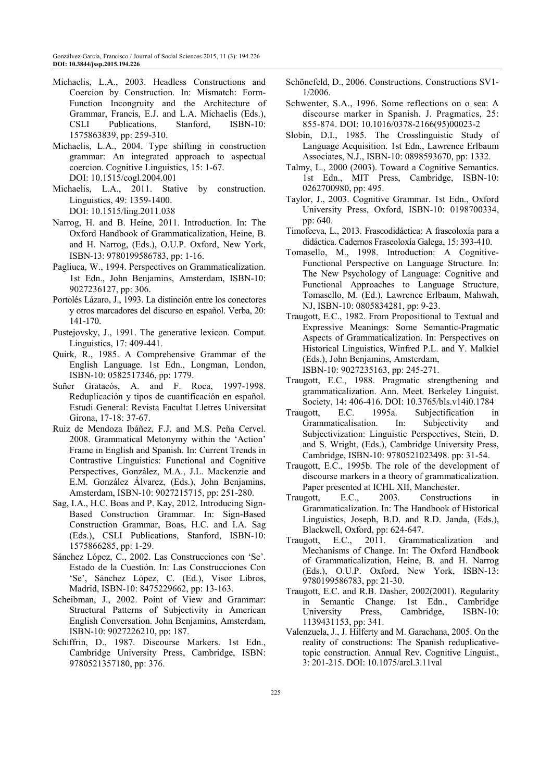- Michaelis, L.A., 2003. Headless Constructions and Coercion by Construction. In: Mismatch: Form-Function Incongruity and the Architecture of Grammar, Francis, E.J. and L.A. Michaelis (Eds.), CSLI Publications, Stanford, ISBN-10: 1575863839, pp: 259-310.
- Michaelis, L.A., 2004. Type shifting in construction grammar: An integrated approach to aspectual coercion. Cognitive Linguistics, 15: 1-67. DOI: 10.1515/cogl.2004.001
- Michaelis, L.A., 2011. Stative by construction. Linguistics, 49: 1359-1400. DOI: 10.1515/ling.2011.038
- Narrog, H. and B. Heine, 2011. Introduction. In: The Oxford Handbook of Grammaticalization, Heine, B. and H. Narrog, (Eds.), O.U.P. Oxford, New York, ISBN-13: 9780199586783, pp: 1-16.
- Pagliuca, W., 1994. Perspectives on Grammaticalization. 1st Edn., John Benjamins, Amsterdam, ISBN-10: 9027236127, pp: 306.
- Portolés Lázaro, J., 1993. La distinción entre los conectores y otros marcadores del discurso en español. Verba, 20: 141-170.
- Pustejovsky, J., 1991. The generative lexicon. Comput. Linguistics, 17: 409-441.
- Quirk, R., 1985. A Comprehensive Grammar of the English Language. 1st Edn., Longman, London, ISBN-10: 0582517346, pp: 1779.
- Suñer Gratacós, A. and F. Roca, 1997-1998. Reduplicación y tipos de cuantificación en español. Estudi General: Revista Facultat Lletres Universitat Girona, 17-18: 37-67.
- Ruiz de Mendoza Ibáñez, F.J. and M.S. Peña Cervel. 2008. Grammatical Metonymy within the 'Action' Frame in English and Spanish. In: Current Trends in Contrastive Linguistics: Functional and Cognitive Perspectives, González, M.A., J.L. Mackenzie and E.M. González Álvarez, (Eds.), John Benjamins, Amsterdam, ISBN-10: 9027215715, pp: 251-280.
- Sag, I.A., H.C. Boas and P. Kay, 2012. Introducing Sign-Based Construction Grammar. In: Sign-Based Construction Grammar, Boas, H.C. and I.A. Sag (Eds.), CSLI Publications, Stanford, ISBN-10: 1575866285, pp: 1-29.
- Sánchez López, C., 2002. Las Construcciones con 'Se'. Estado de la Cuestión. In: Las Construcciones Con 'Se', Sánchez López, C. (Ed.), Visor Libros, Madrid, ISBN-10: 8475229662, pp: 13-163.
- Scheibman, J., 2002. Point of View and Grammar: Structural Patterns of Subjectivity in American English Conversation. John Benjamins, Amsterdam, ISBN-10: 9027226210, pp: 187.
- Schiffrin, D., 1987. Discourse Markers. 1st Edn., Cambridge University Press, Cambridge, ISBN: 9780521357180, pp: 376.
- Schönefeld, D., 2006. Constructions. Constructions SV1- 1/2006.
- Schwenter, S.A., 1996. Some reflections on o sea: A discourse marker in Spanish. J. Pragmatics, 25: 855-874. DOI: 10.1016/0378-2166(95)00023-2
- Slobin, D.I., 1985. The Crosslinguistic Study of Language Acquisition. 1st Edn., Lawrence Erlbaum Associates, N.J., ISBN-10: 0898593670, pp: 1332.
- Talmy, L., 2000 (2003). Toward a Cognitive Semantics. 1st Edn., MIT Press, Cambridge, ISBN-10: 0262700980, pp: 495.
- Taylor, J., 2003. Cognitive Grammar. 1st Edn., Oxford University Press, Oxford, ISBN-10: 0198700334, pp: 640.
- Timofeeva, L., 2013. Fraseodidáctica: A fraseoloxía para a didáctica. Cadernos Fraseoloxía Galega, 15: 393-410.
- Tomasello, M., 1998. Introduction: A Cognitive-Functional Perspective on Language Structure. In: The New Psychology of Language: Cognitive and Functional Approaches to Language Structure, Tomasello, M. (Ed.), Lawrence Erlbaum, Mahwah, NJ, ISBN-10: 0805834281, pp: 9-23.
- Traugott, E.C., 1982. From Propositional to Textual and Expressive Meanings: Some Semantic-Pragmatic Aspects of Grammaticalization. In: Perspectives on Historical Linguistics, Winfred P.L. and Y. Malkiel (Eds.), John Benjamins, Amsterdam, ISBN-10: 9027235163, pp: 245-271.
- Traugott, E.C., 1988. Pragmatic strengthening and grammaticalization. Ann. Meet. Berkeley Linguist. Society, 14: 406-416. DOI: 10.3765/bls.v14i0.1784
- Traugott, E.C. 1995a. Subjectification in Grammaticalisation. In: Subjectivity and Subjectivization: Linguistic Perspectives, Stein, D. and S. Wright, (Eds.), Cambridge University Press, Cambridge, ISBN-10: 9780521023498. pp: 31-54.
- Traugott, E.C., 1995b. The role of the development of discourse markers in a theory of grammaticalization. Paper presented at ICHL XII, Manchester.
- Traugott, E.C., 2003. Constructions in Grammaticalization. In: The Handbook of Historical Linguistics, Joseph, B.D. and R.D. Janda, (Eds.), Blackwell, Oxford, pp: 624-647.
- Traugott, E.C., 2011. Grammaticalization and Mechanisms of Change. In: The Oxford Handbook of Grammaticalization, Heine, B. and H. Narrog (Eds.), O.U.P. Oxford, New York, ISBN-13: 9780199586783, pp: 21-30.
- Traugott, E.C. and R.B. Dasher, 2002(2001). Regularity in Semantic Change. 1st Edn., Cambridge University Press, Cambridge, ISBN-10: 1139431153, pp: 341.
- Valenzuela, J., J. Hilferty and M. Garachana, 2005. On the reality of constructions: The Spanish reduplicativetopic construction. Annual Rev. Cognitive Linguist., 3: 201-215. DOI: 10.1075/arcl.3.11val